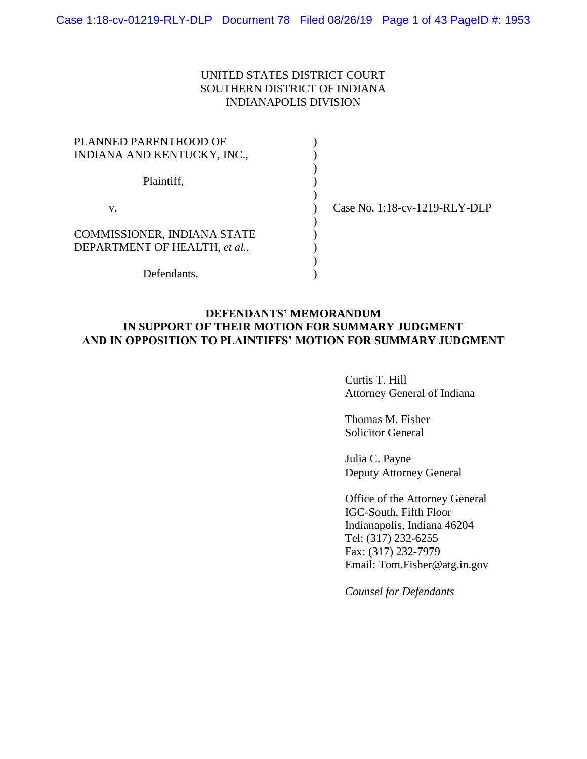## UNITED STATES DISTRICT COURT SOUTHERN DISTRICT OF INDIANA INDIANAPOLIS DIVISION

| PLANNED PARENTHOOD OF         |                               |
|-------------------------------|-------------------------------|
| INDIANA AND KENTUCKY, INC.,   |                               |
| Plaintiff,                    |                               |
| v.                            | Case No. 1:18-cv-1219-RLY-DLP |
|                               |                               |
| COMMISSIONER, INDIANA STATE   |                               |
| DEPARTMENT OF HEALTH, et al., |                               |
|                               |                               |
| Defendants                    |                               |

## **DEFENDANTS' MEMORANDUM IN SUPPORT OF THEIR MOTION FOR SUMMARY JUDGMENT AND IN OPPOSITION TO PLAINTIFFS' MOTION FOR SUMMARY JUDGMENT**

Curtis T. Hill Attorney General of Indiana

Thomas M. Fisher Solicitor General

Julia C. Payne Deputy Attorney General

Office of the Attorney General IGC-South, Fifth Floor Indianapolis, Indiana 46204 Tel: (317) 232-6255 Fax: (317) 232-7979 Email: Tom.Fisher@atg.in.gov

*Counsel for Defendants*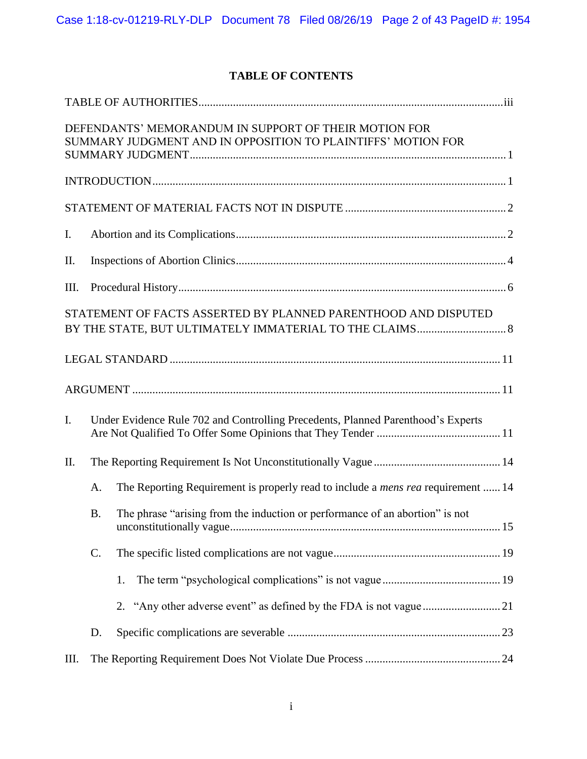## **TABLE OF CONTENTS**

|             |           | DEFENDANTS' MEMORANDUM IN SUPPORT OF THEIR MOTION FOR<br>SUMMARY JUDGMENT AND IN OPPOSITION TO PLAINTIFFS' MOTION FOR |  |
|-------------|-----------|-----------------------------------------------------------------------------------------------------------------------|--|
|             |           |                                                                                                                       |  |
|             |           |                                                                                                                       |  |
| I.          |           |                                                                                                                       |  |
| II.         |           |                                                                                                                       |  |
| Ш.          |           |                                                                                                                       |  |
|             |           | STATEMENT OF FACTS ASSERTED BY PLANNED PARENTHOOD AND DISPUTED                                                        |  |
|             |           |                                                                                                                       |  |
|             |           |                                                                                                                       |  |
| $I_{\cdot}$ |           | Under Evidence Rule 702 and Controlling Precedents, Planned Parenthood's Experts                                      |  |
| II.         |           |                                                                                                                       |  |
|             | A.        | The Reporting Requirement is properly read to include a <i>mens rea</i> requirement  14                               |  |
|             | <b>B.</b> | The phrase "arising from the induction or performance of an abortion" is not                                          |  |
|             | C.        |                                                                                                                       |  |
|             |           | 1.                                                                                                                    |  |
|             |           |                                                                                                                       |  |
|             | D.        |                                                                                                                       |  |
| Ш.          |           |                                                                                                                       |  |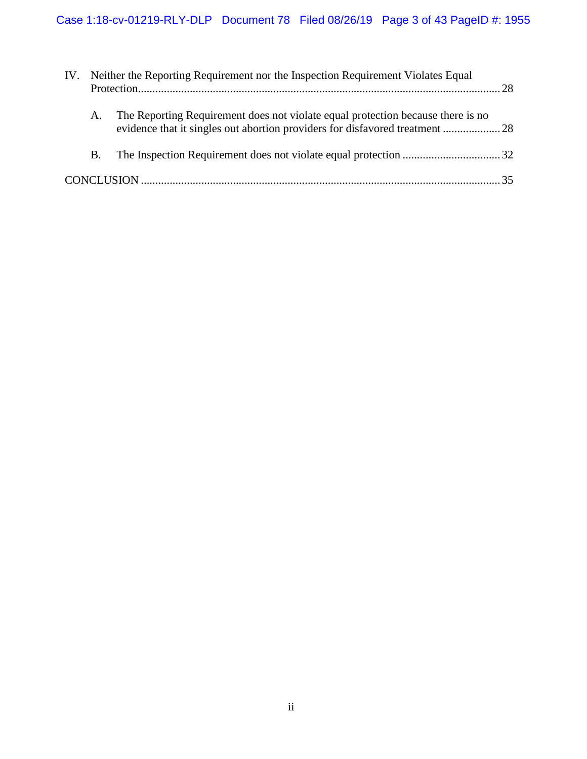| IV. | Neither the Reporting Requirement nor the Inspection Requirement Violates Equal |                                                                                                                                                                 |  |
|-----|---------------------------------------------------------------------------------|-----------------------------------------------------------------------------------------------------------------------------------------------------------------|--|
|     | A.                                                                              | The Reporting Requirement does not violate equal protection because there is no<br>evidence that it singles out abortion providers for disfavored treatment  28 |  |
|     | $B_{-}$                                                                         |                                                                                                                                                                 |  |
|     |                                                                                 |                                                                                                                                                                 |  |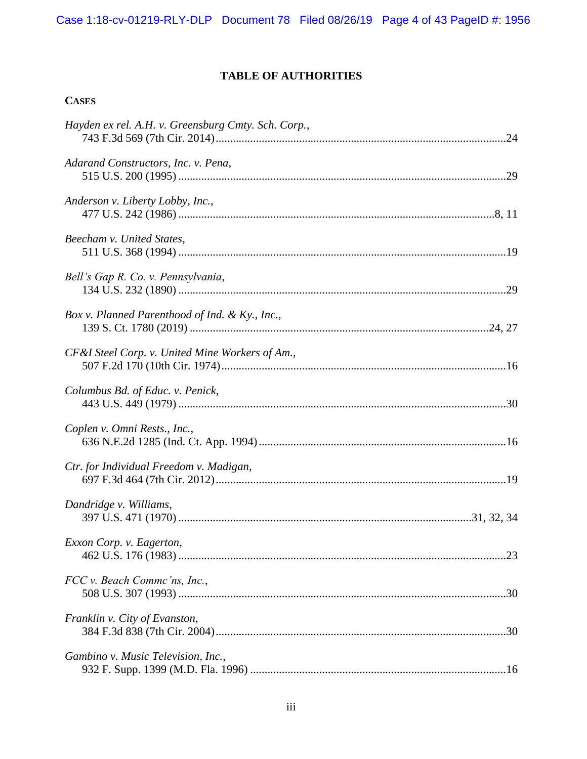## **TABLE OF AUTHORITIES**

## **CASES**

| Hayden ex rel. A.H. v. Greensburg Cmty. Sch. Corp., |  |
|-----------------------------------------------------|--|
| Adarand Constructors, Inc. v. Pena,                 |  |
| Anderson v. Liberty Lobby, Inc.,                    |  |
| Beecham v. United States,                           |  |
| Bell's Gap R. Co. v. Pennsylvania,                  |  |
| Box v. Planned Parenthood of Ind. & Ky., Inc.,      |  |
| CF &I Steel Corp. v. United Mine Workers of Am.,    |  |
| Columbus Bd. of Educ. v. Penick,                    |  |
| Coplen v. Omni Rests., Inc.,                        |  |
| Ctr. for Individual Freedom v. Madigan,             |  |
| Dandridge v. Williams,                              |  |
| Exxon Corp. v. Eagerton,                            |  |
| FCC v. Beach Commc'ns, Inc.,                        |  |
| Franklin v. City of Evanston,                       |  |
| Gambino v. Music Television, Inc.,                  |  |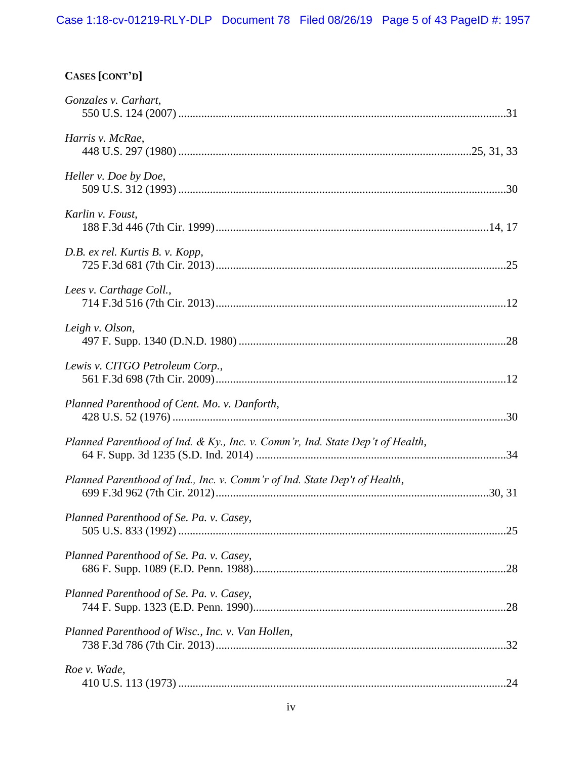# **CASES [CONT'D]**

| Gonzales v. Carhart,                                                          |  |
|-------------------------------------------------------------------------------|--|
| Harris v. McRae,                                                              |  |
| Heller v. Doe by Doe,                                                         |  |
| Karlin v. Foust,                                                              |  |
| D.B. ex rel. Kurtis B. v. Kopp,                                               |  |
| Lees v. Carthage Coll.,                                                       |  |
| Leigh v. Olson,                                                               |  |
| Lewis v. CITGO Petroleum Corp.,                                               |  |
| Planned Parenthood of Cent. Mo. v. Danforth,                                  |  |
| Planned Parenthood of Ind. & Ky., Inc. v. Comm'r, Ind. State Dep't of Health, |  |
| Planned Parenthood of Ind., Inc. v. Comm'r of Ind. State Dep't of Health,     |  |
| Planned Parenthood of Se. Pa. v. Casey,                                       |  |
| Planned Parenthood of Se. Pa. v. Casey,                                       |  |
| Planned Parenthood of Se. Pa. v. Casey,                                       |  |
| Planned Parenthood of Wisc., Inc. v. Van Hollen,                              |  |
| Roe v. Wade,                                                                  |  |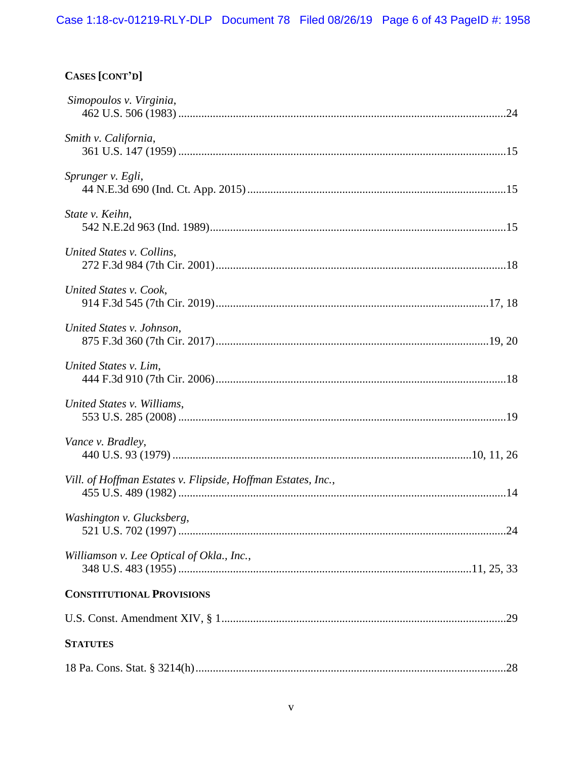# CASES [CONT'D]

| Simopoulos v. Virginia,                                      |  |
|--------------------------------------------------------------|--|
| Smith v. California,                                         |  |
| Sprunger v. Egli,                                            |  |
| State v. Keihn,                                              |  |
| United States v. Collins,                                    |  |
| United States v. Cook,                                       |  |
| United States v. Johnson,                                    |  |
| United States v. Lim,                                        |  |
| United States v. Williams,                                   |  |
| Vance v. Bradley,                                            |  |
| Vill. of Hoffman Estates v. Flipside, Hoffman Estates, Inc., |  |
| Washington v. Glucksberg,                                    |  |
| Williamson v. Lee Optical of Okla., Inc.,                    |  |
| <b>CONSTITUTIONAL PROVISIONS</b>                             |  |
|                                                              |  |
| <b>STATUTES</b>                                              |  |
|                                                              |  |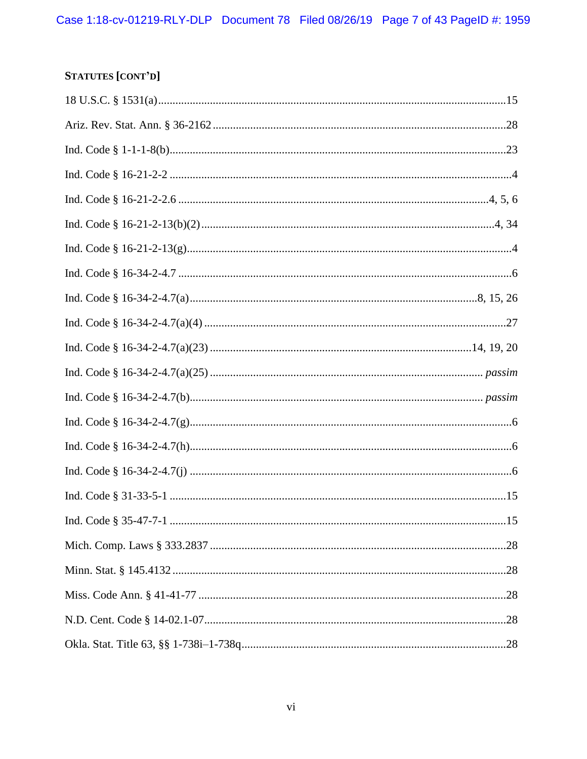# STATUTES [CONT'D]

| 15 |
|----|
|    |
|    |
|    |
|    |
|    |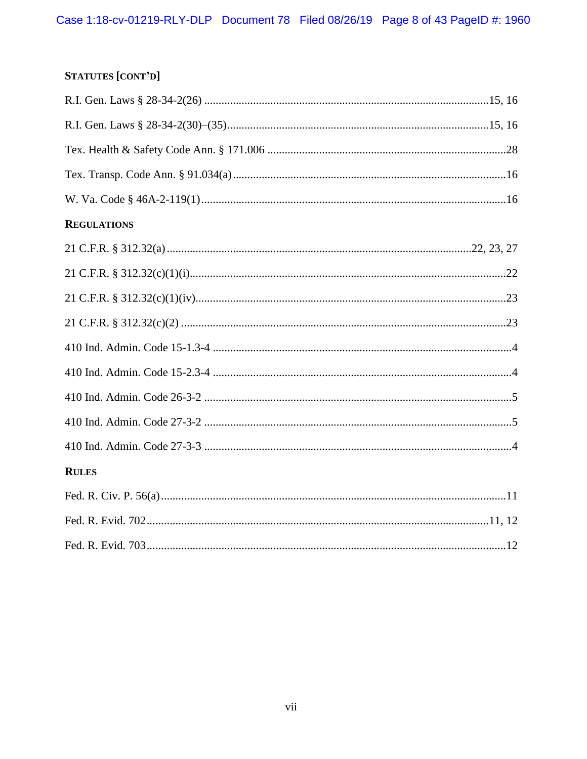## **STATUTES [CONT'D]**

| <b>REGULATIONS</b> |  |
|--------------------|--|
|                    |  |
|                    |  |
|                    |  |
|                    |  |
|                    |  |
|                    |  |
|                    |  |
|                    |  |
|                    |  |
| <b>RULES</b>       |  |
|                    |  |
|                    |  |
|                    |  |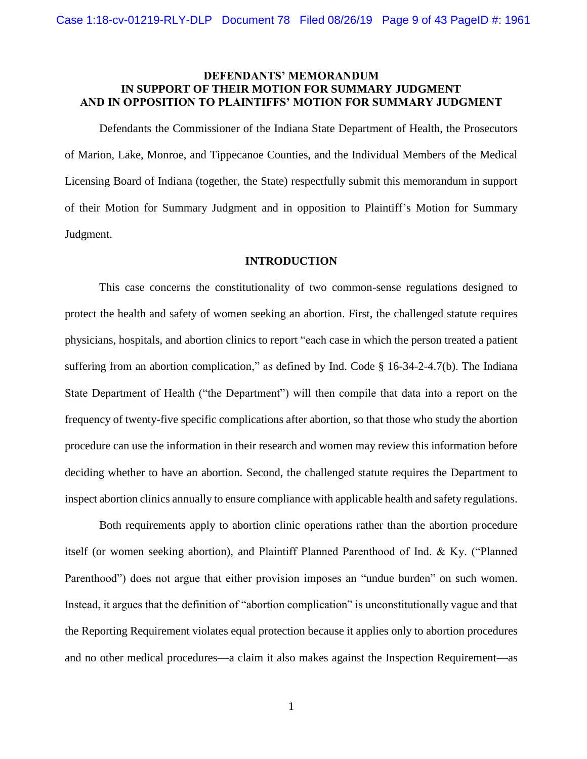## **DEFENDANTS' MEMORANDUM IN SUPPORT OF THEIR MOTION FOR SUMMARY JUDGMENT AND IN OPPOSITION TO PLAINTIFFS' MOTION FOR SUMMARY JUDGMENT**

Defendants the Commissioner of the Indiana State Department of Health, the Prosecutors of Marion, Lake, Monroe, and Tippecanoe Counties, and the Individual Members of the Medical Licensing Board of Indiana (together, the State) respectfully submit this memorandum in support of their Motion for Summary Judgment and in opposition to Plaintiff's Motion for Summary Judgment.

#### **INTRODUCTION**

This case concerns the constitutionality of two common-sense regulations designed to protect the health and safety of women seeking an abortion. First, the challenged statute requires physicians, hospitals, and abortion clinics to report "each case in which the person treated a patient suffering from an abortion complication," as defined by Ind. Code § 16-34-2-4.7(b). The Indiana State Department of Health ("the Department") will then compile that data into a report on the frequency of twenty-five specific complications after abortion, so that those who study the abortion procedure can use the information in their research and women may review this information before deciding whether to have an abortion. Second, the challenged statute requires the Department to inspect abortion clinics annually to ensure compliance with applicable health and safety regulations.

Both requirements apply to abortion clinic operations rather than the abortion procedure itself (or women seeking abortion), and Plaintiff Planned Parenthood of Ind. & Ky. ("Planned Parenthood") does not argue that either provision imposes an "undue burden" on such women. Instead, it argues that the definition of "abortion complication" is unconstitutionally vague and that the Reporting Requirement violates equal protection because it applies only to abortion procedures and no other medical procedures—a claim it also makes against the Inspection Requirement—as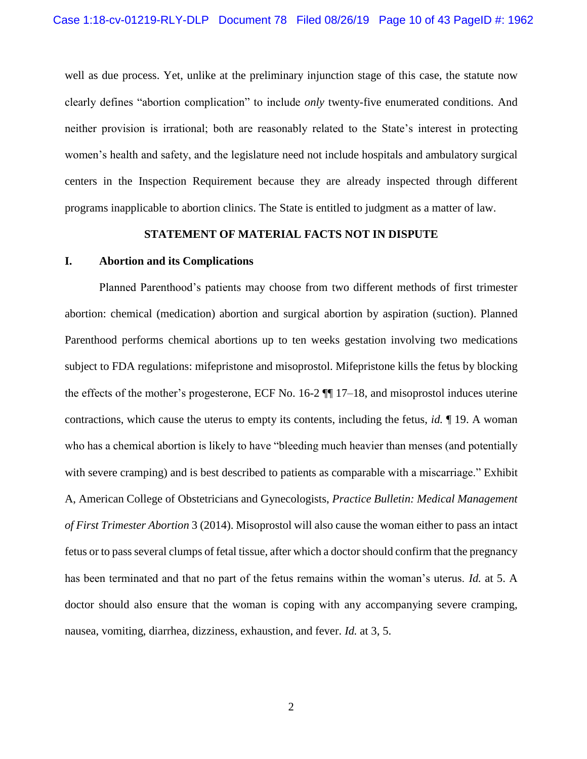well as due process. Yet, unlike at the preliminary injunction stage of this case, the statute now clearly defines "abortion complication" to include *only* twenty-five enumerated conditions. And neither provision is irrational; both are reasonably related to the State's interest in protecting women's health and safety, and the legislature need not include hospitals and ambulatory surgical centers in the Inspection Requirement because they are already inspected through different programs inapplicable to abortion clinics. The State is entitled to judgment as a matter of law.

#### **STATEMENT OF MATERIAL FACTS NOT IN DISPUTE**

## **I. Abortion and its Complications**

Planned Parenthood's patients may choose from two different methods of first trimester abortion: chemical (medication) abortion and surgical abortion by aspiration (suction). Planned Parenthood performs chemical abortions up to ten weeks gestation involving two medications subject to FDA regulations: mifepristone and misoprostol. Mifepristone kills the fetus by blocking the effects of the mother's progesterone, ECF No. 16-2 ¶¶ 17–18, and misoprostol induces uterine contractions, which cause the uterus to empty its contents, including the fetus, *id.* ¶ 19. A woman who has a chemical abortion is likely to have "bleeding much heavier than menses (and potentially with severe cramping) and is best described to patients as comparable with a miscarriage." Exhibit A, American College of Obstetricians and Gynecologists, *Practice Bulletin: Medical Management of First Trimester Abortion* 3 (2014). Misoprostol will also cause the woman either to pass an intact fetus or to pass several clumps of fetal tissue, after which a doctor should confirm that the pregnancy has been terminated and that no part of the fetus remains within the woman's uterus. *Id.* at 5. A doctor should also ensure that the woman is coping with any accompanying severe cramping, nausea, vomiting, diarrhea, dizziness, exhaustion, and fever. *Id.* at 3, 5.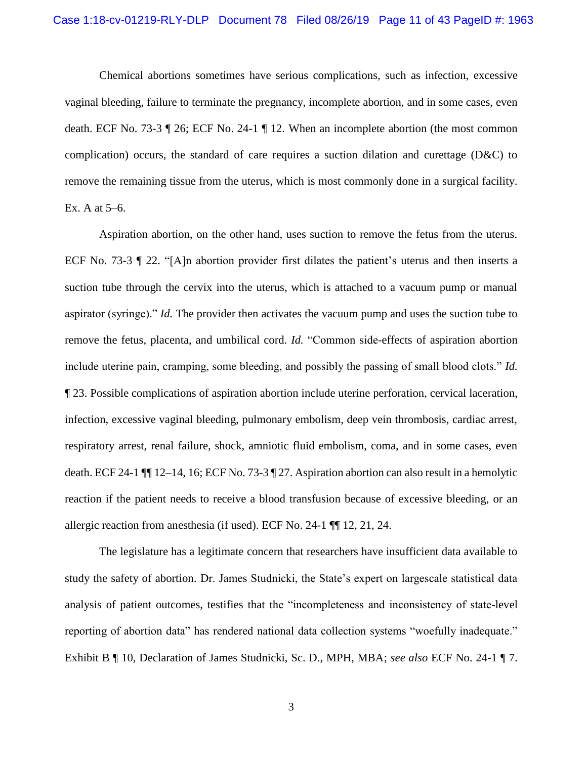Chemical abortions sometimes have serious complications, such as infection, excessive vaginal bleeding, failure to terminate the pregnancy, incomplete abortion, and in some cases, even death. ECF No. 73-3 ¶ 26; ECF No. 24-1 ¶ 12. When an incomplete abortion (the most common complication) occurs, the standard of care requires a suction dilation and curettage (D&C) to remove the remaining tissue from the uterus, which is most commonly done in a surgical facility. Ex. A at 5–6.

Aspiration abortion, on the other hand, uses suction to remove the fetus from the uterus. ECF No. 73-3 ¶ 22. "[A]n abortion provider first dilates the patient's uterus and then inserts a suction tube through the cervix into the uterus, which is attached to a vacuum pump or manual aspirator (syringe)." *Id.* The provider then activates the vacuum pump and uses the suction tube to remove the fetus, placenta, and umbilical cord. *Id.* "Common side-effects of aspiration abortion include uterine pain, cramping, some bleeding, and possibly the passing of small blood clots." *Id.*  ¶ 23. Possible complications of aspiration abortion include uterine perforation, cervical laceration, infection, excessive vaginal bleeding, pulmonary embolism, deep vein thrombosis, cardiac arrest, respiratory arrest, renal failure, shock, amniotic fluid embolism, coma, and in some cases, even death. ECF 24-1 ¶¶ 12–14, 16; ECF No. 73-3 ¶ 27. Aspiration abortion can also result in a hemolytic reaction if the patient needs to receive a blood transfusion because of excessive bleeding, or an allergic reaction from anesthesia (if used). ECF No. 24-1 ¶¶ 12, 21, 24.

The legislature has a legitimate concern that researchers have insufficient data available to study the safety of abortion. Dr. James Studnicki, the State's expert on largescale statistical data analysis of patient outcomes, testifies that the "incompleteness and inconsistency of state-level reporting of abortion data" has rendered national data collection systems "woefully inadequate." Exhibit B ¶ 10, Declaration of James Studnicki, Sc. D., MPH, MBA; *see also* ECF No. 24-1 ¶ 7.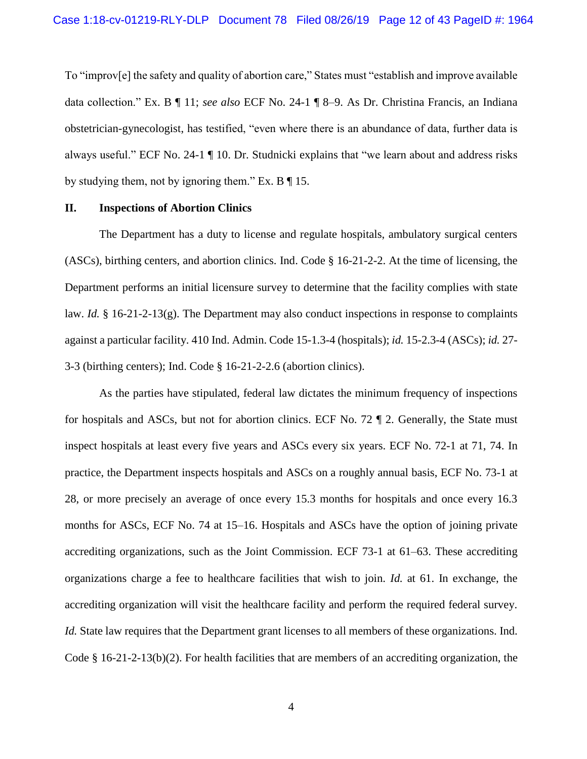To "improv[e] the safety and quality of abortion care," States must "establish and improve available data collection." Ex. B ¶ 11; *see also* ECF No. 24-1 ¶ 8–9. As Dr. Christina Francis, an Indiana obstetrician-gynecologist, has testified, "even where there is an abundance of data, further data is always useful." ECF No. 24-1 ¶ 10. Dr. Studnicki explains that "we learn about and address risks by studying them, not by ignoring them." Ex.  $B \parallel 15$ .

#### **II. Inspections of Abortion Clinics**

<span id="page-11-3"></span><span id="page-11-0"></span>The Department has a duty to license and regulate hospitals, ambulatory surgical centers (ASCs), birthing centers, and abortion clinics. Ind. Code § 16-21-2-2. At the time of licensing, the Department performs an initial licensure survey to determine that the facility complies with state law. *Id.*  $\S$  16-21-2-13(g). The Department may also conduct inspections in response to complaints against a particular facility. 410 Ind. Admin. Code 15-1.3-4 (hospitals); *id.* 15-2.3-4 (ASCs); *id.* 27- 3-3 (birthing centers); Ind. Code § 16-21-2-2.6 (abortion clinics).

<span id="page-11-6"></span><span id="page-11-5"></span><span id="page-11-4"></span><span id="page-11-2"></span><span id="page-11-1"></span>As the parties have stipulated, federal law dictates the minimum frequency of inspections for hospitals and ASCs, but not for abortion clinics. ECF No. 72 ¶ 2. Generally, the State must inspect hospitals at least every five years and ASCs every six years. ECF No. 72-1 at 71, 74. In practice, the Department inspects hospitals and ASCs on a roughly annual basis, ECF No. 73-1 at 28, or more precisely an average of once every 15.3 months for hospitals and once every 16.3 months for ASCs, ECF No. 74 at 15–16. Hospitals and ASCs have the option of joining private accrediting organizations, such as the Joint Commission. ECF 73-1 at 61–63. These accrediting organizations charge a fee to healthcare facilities that wish to join. *Id.* at 61. In exchange, the accrediting organization will visit the healthcare facility and perform the required federal survey. *Id.* State law requires that the Department grant licenses to all members of these organizations. Ind. Code  $\S$  16-21-2-13(b)(2). For health facilities that are members of an accrediting organization, the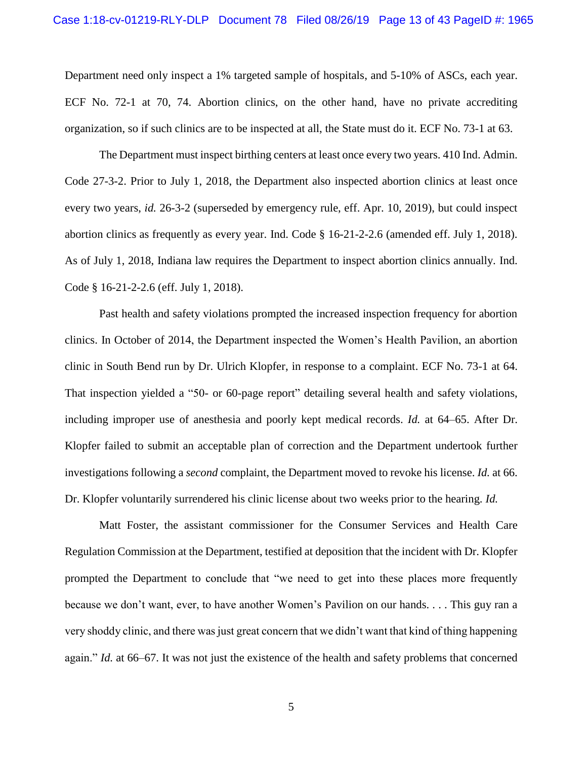Department need only inspect a 1% targeted sample of hospitals, and 5-10% of ASCs, each year. ECF No. 72-1 at 70, 74. Abortion clinics, on the other hand, have no private accrediting organization, so if such clinics are to be inspected at all, the State must do it. ECF No. 73-1 at 63.

<span id="page-12-2"></span><span id="page-12-1"></span><span id="page-12-0"></span>The Department must inspect birthing centers at least once every two years. 410 Ind. Admin. Code 27-3-2. Prior to July 1, 2018, the Department also inspected abortion clinics at least once every two years, *id.* 26-3-2 (superseded by emergency rule, eff. Apr. 10, 2019), but could inspect abortion clinics as frequently as every year. Ind. Code § 16-21-2-2.6 (amended eff. July 1, 2018). As of July 1, 2018, Indiana law requires the Department to inspect abortion clinics annually. Ind. Code § 16-21-2-2.6 (eff. July 1, 2018).

Past health and safety violations prompted the increased inspection frequency for abortion clinics. In October of 2014, the Department inspected the Women's Health Pavilion, an abortion clinic in South Bend run by Dr. Ulrich Klopfer, in response to a complaint. ECF No. 73-1 at 64. That inspection yielded a "50- or 60-page report" detailing several health and safety violations, including improper use of anesthesia and poorly kept medical records. *Id.* at 64–65. After Dr. Klopfer failed to submit an acceptable plan of correction and the Department undertook further investigations following a *second* complaint, the Department moved to revoke his license. *Id.* at 66. Dr. Klopfer voluntarily surrendered his clinic license about two weeks prior to the hearing. *Id.*

Matt Foster, the assistant commissioner for the Consumer Services and Health Care Regulation Commission at the Department, testified at deposition that the incident with Dr. Klopfer prompted the Department to conclude that "we need to get into these places more frequently because we don't want, ever, to have another Women's Pavilion on our hands. . . . This guy ran a very shoddy clinic, and there was just great concern that we didn't want that kind of thing happening again." *Id.* at 66–67. It was not just the existence of the health and safety problems that concerned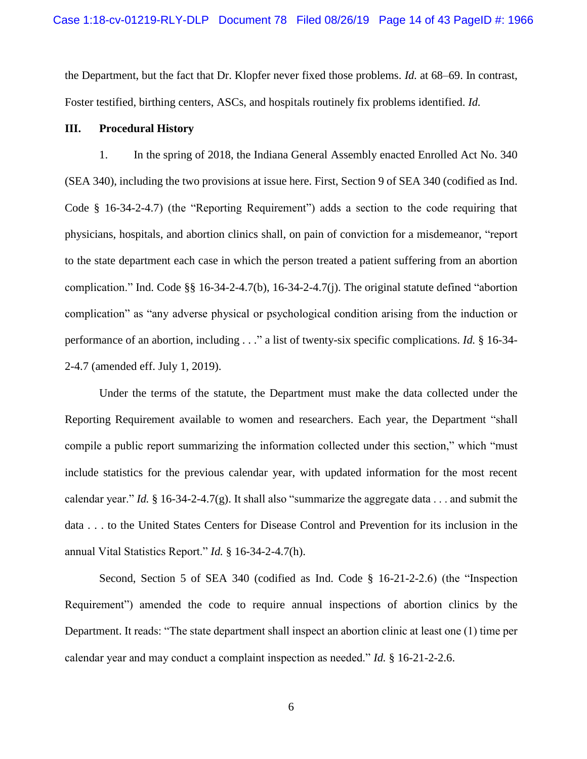the Department, but the fact that Dr. Klopfer never fixed those problems. *Id.* at 68–69. In contrast, Foster testified, birthing centers, ASCs, and hospitals routinely fix problems identified. *Id.*

### **III. Procedural History**

<span id="page-13-1"></span>1. In the spring of 2018, the Indiana General Assembly enacted Enrolled Act No. 340 (SEA 340), including the two provisions at issue here. First, Section 9 of SEA 340 (codified as Ind. Code § 16-34-2-4.7) (the "Reporting Requirement") adds a section to the code requiring that physicians, hospitals, and abortion clinics shall, on pain of conviction for a misdemeanor, "report to the state department each case in which the person treated a patient suffering from an abortion complication." Ind. Code §§ 16-34-2-4.7(b), 16-34-2-4.7(j). The original statute defined "abortion complication" as "any adverse physical or psychological condition arising from the induction or performance of an abortion, including . . ." a list of twenty-six specific complications. *Id.* § 16-34- 2-4.7 (amended eff. July 1, 2019).

<span id="page-13-4"></span>Under the terms of the statute, the Department must make the data collected under the Reporting Requirement available to women and researchers. Each year, the Department "shall compile a public report summarizing the information collected under this section," which "must include statistics for the previous calendar year, with updated information for the most recent calendar year." *Id.* § 16-34-2-4.7(g). It shall also "summarize the aggregate data . . . and submit the data . . . to the United States Centers for Disease Control and Prevention for its inclusion in the annual Vital Statistics Report." *Id.* § 16-34-2-4.7(h).

<span id="page-13-3"></span><span id="page-13-2"></span><span id="page-13-0"></span>Second, Section 5 of SEA 340 (codified as Ind. Code § 16-21-2-2.6) (the "Inspection Requirement") amended the code to require annual inspections of abortion clinics by the Department. It reads: "The state department shall inspect an abortion clinic at least one (1) time per calendar year and may conduct a complaint inspection as needed." *Id.* § 16-21-2-2.6.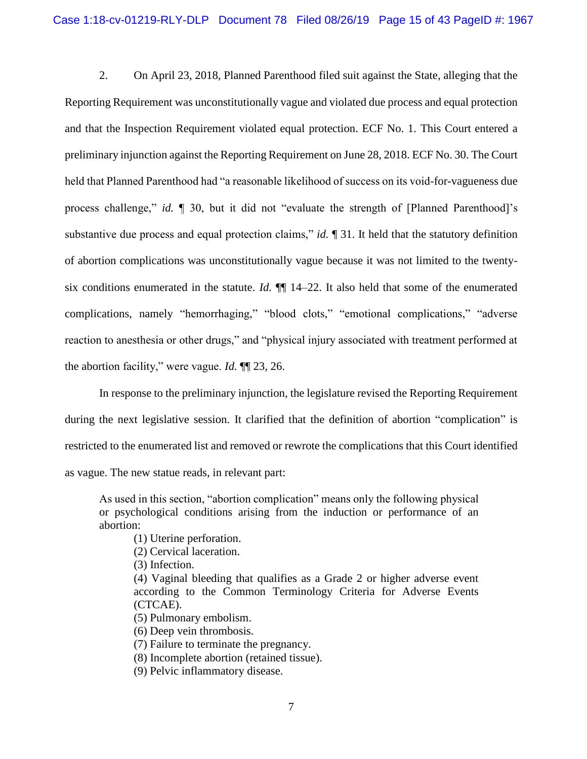2. On April 23, 2018, Planned Parenthood filed suit against the State, alleging that the Reporting Requirement was unconstitutionally vague and violated due process and equal protection and that the Inspection Requirement violated equal protection. ECF No. 1. This Court entered a preliminary injunction against the Reporting Requirement on June 28, 2018. ECF No. 30. The Court held that Planned Parenthood had "a reasonable likelihood of success on its void-for-vagueness due process challenge," *id.* ¶ 30, but it did not "evaluate the strength of [Planned Parenthood]'s substantive due process and equal protection claims," *id.* ¶ 31. It held that the statutory definition of abortion complications was unconstitutionally vague because it was not limited to the twentysix conditions enumerated in the statute. *Id.* ¶¶ 14–22. It also held that some of the enumerated complications, namely "hemorrhaging," "blood clots," "emotional complications," "adverse reaction to anesthesia or other drugs," and "physical injury associated with treatment performed at the abortion facility," were vague. *Id.* ¶¶ 23, 26.

In response to the preliminary injunction, the legislature revised the Reporting Requirement during the next legislative session. It clarified that the definition of abortion "complication" is restricted to the enumerated list and removed or rewrote the complications that this Court identified as vague. The new statue reads, in relevant part:

As used in this section, "abortion complication" means only the following physical or psychological conditions arising from the induction or performance of an abortion:

- (1) Uterine perforation.
- (2) Cervical laceration.
- (3) Infection.
- (4) Vaginal bleeding that qualifies as a Grade 2 or higher adverse event according to the Common Terminology Criteria for Adverse Events (CTCAE).
- (5) Pulmonary embolism.
- (6) Deep vein thrombosis.
- (7) Failure to terminate the pregnancy.
- (8) Incomplete abortion (retained tissue).
- (9) Pelvic inflammatory disease.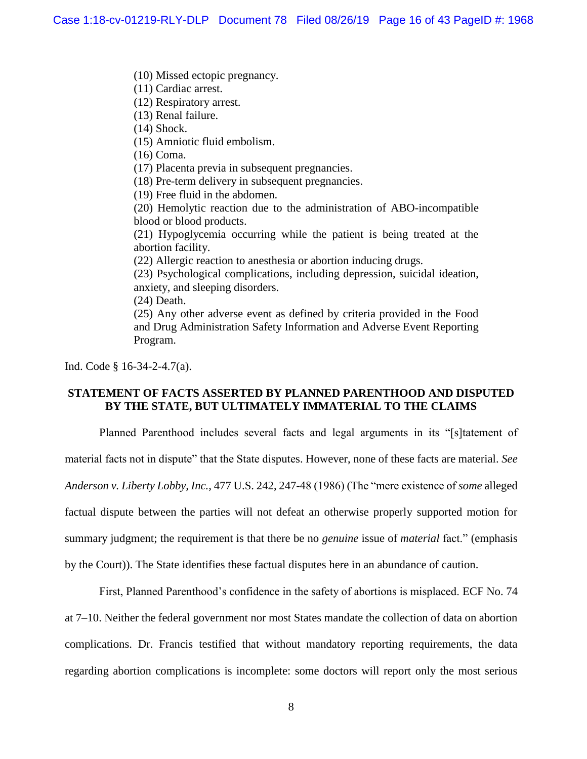(10) Missed ectopic pregnancy.

(11) Cardiac arrest.

(12) Respiratory arrest.

(13) Renal failure.

(14) Shock.

(15) Amniotic fluid embolism.

(16) Coma.

(17) Placenta previa in subsequent pregnancies.

(18) Pre-term delivery in subsequent pregnancies.

(19) Free fluid in the abdomen.

(20) Hemolytic reaction due to the administration of ABO-incompatible blood or blood products.

(21) Hypoglycemia occurring while the patient is being treated at the abortion facility.

(22) Allergic reaction to anesthesia or abortion inducing drugs.

(23) Psychological complications, including depression, suicidal ideation, anxiety, and sleeping disorders.

(24) Death.

(25) Any other adverse event as defined by criteria provided in the Food and Drug Administration Safety Information and Adverse Event Reporting Program.

<span id="page-15-1"></span>Ind. Code § 16-34-2-4.7(a).

## **STATEMENT OF FACTS ASSERTED BY PLANNED PARENTHOOD AND DISPUTED BY THE STATE, BUT ULTIMATELY IMMATERIAL TO THE CLAIMS**

Planned Parenthood includes several facts and legal arguments in its "[s]tatement of

material facts not in dispute" that the State disputes. However, none of these facts are material. *See* 

<span id="page-15-0"></span>*Anderson v. Liberty Lobby, Inc.*, 477 U.S. 242, 247-48 (1986) (The "mere existence of *some* alleged

factual dispute between the parties will not defeat an otherwise properly supported motion for

summary judgment; the requirement is that there be no *genuine* issue of *material* fact." (emphasis

by the Court)). The State identifies these factual disputes here in an abundance of caution.

First, Planned Parenthood's confidence in the safety of abortions is misplaced. ECF No. 74 at 7–10. Neither the federal government nor most States mandate the collection of data on abortion complications. Dr. Francis testified that without mandatory reporting requirements, the data regarding abortion complications is incomplete: some doctors will report only the most serious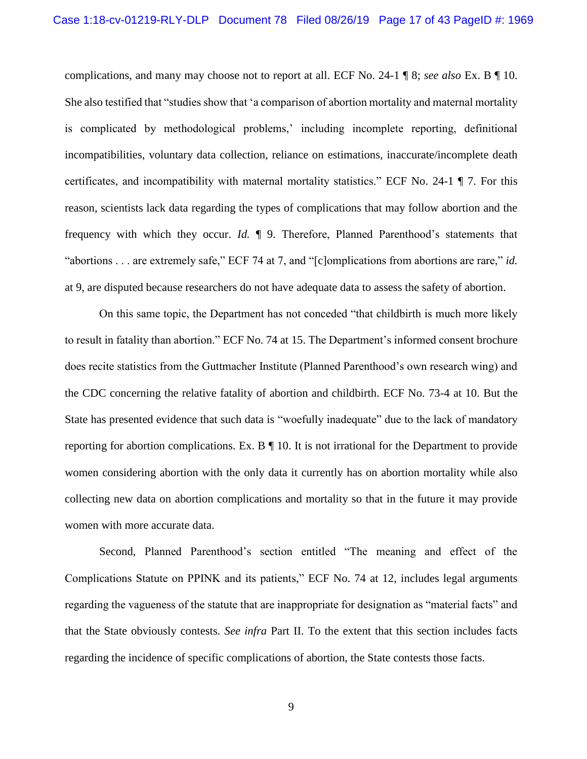complications, and many may choose not to report at all. ECF No. 24-1 ¶ 8; *see also* Ex. B ¶ 10. She also testified that "studies show that 'a comparison of abortion mortality and maternal mortality is complicated by methodological problems,' including incomplete reporting, definitional incompatibilities, voluntary data collection, reliance on estimations, inaccurate/incomplete death certificates, and incompatibility with maternal mortality statistics." ECF No. 24-1 ¶ 7. For this reason, scientists lack data regarding the types of complications that may follow abortion and the frequency with which they occur. *Id.* ¶ 9. Therefore, Planned Parenthood's statements that "abortions . . . are extremely safe," ECF 74 at 7, and "[c]omplications from abortions are rare," *id.* at 9, are disputed because researchers do not have adequate data to assess the safety of abortion.

On this same topic, the Department has not conceded "that childbirth is much more likely to result in fatality than abortion." ECF No. 74 at 15. The Department's informed consent brochure does recite statistics from the Guttmacher Institute (Planned Parenthood's own research wing) and the CDC concerning the relative fatality of abortion and childbirth. ECF No. 73-4 at 10. But the State has presented evidence that such data is "woefully inadequate" due to the lack of mandatory reporting for abortion complications. Ex.  $\mathbf{B} \parallel 10$ . It is not irrational for the Department to provide women considering abortion with the only data it currently has on abortion mortality while also collecting new data on abortion complications and mortality so that in the future it may provide women with more accurate data.

Second, Planned Parenthood's section entitled "The meaning and effect of the Complications Statute on PPINK and its patients," ECF No. 74 at 12, includes legal arguments regarding the vagueness of the statute that are inappropriate for designation as "material facts" and that the State obviously contests. *See infra* Part II. To the extent that this section includes facts regarding the incidence of specific complications of abortion, the State contests those facts.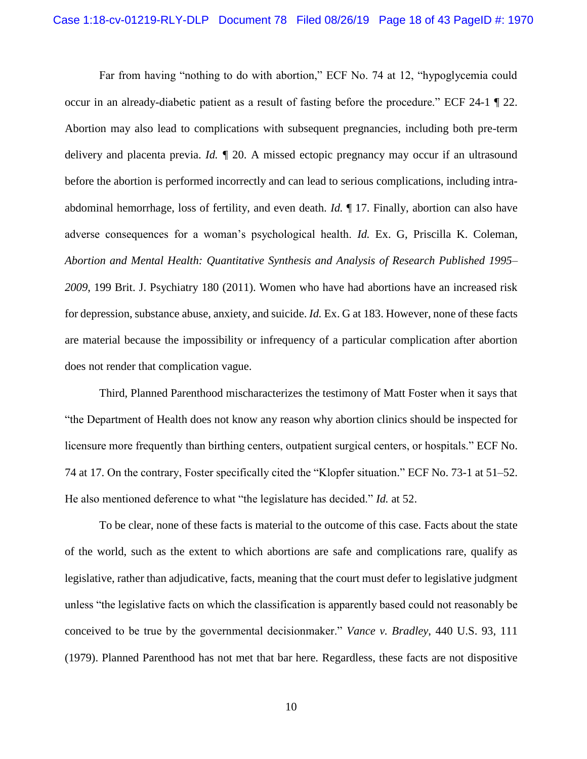Far from having "nothing to do with abortion," ECF No. 74 at 12, "hypoglycemia could occur in an already-diabetic patient as a result of fasting before the procedure." ECF 24-1 ¶ 22. Abortion may also lead to complications with subsequent pregnancies, including both pre-term delivery and placenta previa. *Id. ¶* 20. A missed ectopic pregnancy may occur if an ultrasound before the abortion is performed incorrectly and can lead to serious complications, including intraabdominal hemorrhage, loss of fertility, and even death. *Id.* ¶ 17. Finally, abortion can also have adverse consequences for a woman's psychological health. *Id.* Ex. G, Priscilla K. Coleman, *Abortion and Mental Health: Quantitative Synthesis and Analysis of Research Published 1995– 2009*, 199 Brit. J. Psychiatry 180 (2011). Women who have had abortions have an increased risk for depression, substance abuse, anxiety, and suicide. *Id.* Ex. G at 183. However, none of these facts are material because the impossibility or infrequency of a particular complication after abortion does not render that complication vague.

Third, Planned Parenthood mischaracterizes the testimony of Matt Foster when it says that "the Department of Health does not know any reason why abortion clinics should be inspected for licensure more frequently than birthing centers, outpatient surgical centers, or hospitals." ECF No. 74 at 17. On the contrary, Foster specifically cited the "Klopfer situation." ECF No. 73-1 at 51–52. He also mentioned deference to what "the legislature has decided." *Id.* at 52.

<span id="page-17-0"></span>To be clear, none of these facts is material to the outcome of this case. Facts about the state of the world, such as the extent to which abortions are safe and complications rare, qualify as legislative, rather than adjudicative, facts, meaning that the court must defer to legislative judgment unless "the legislative facts on which the classification is apparently based could not reasonably be conceived to be true by the governmental decisionmaker." *Vance v. Bradley*, 440 U.S. 93, 111 (1979). Planned Parenthood has not met that bar here. Regardless, these facts are not dispositive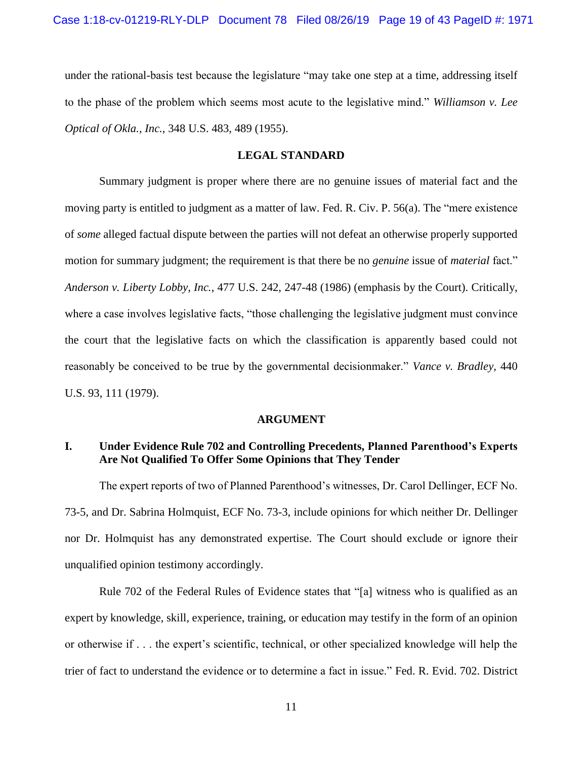under the rational-basis test because the legislature "may take one step at a time, addressing itself to the phase of the problem which seems most acute to the legislative mind." *Williamson v. Lee Optical of Okla., Inc.*, 348 U.S. 483, 489 (1955).

#### <span id="page-18-3"></span><span id="page-18-2"></span>**LEGAL STANDARD**

<span id="page-18-0"></span>Summary judgment is proper where there are no genuine issues of material fact and the moving party is entitled to judgment as a matter of law. Fed. R. Civ. P. 56(a). The "mere existence of *some* alleged factual dispute between the parties will not defeat an otherwise properly supported motion for summary judgment; the requirement is that there be no *genuine* issue of *material* fact." *Anderson v. Liberty Lobby, Inc.*, 477 U.S. 242, 247-48 (1986) (emphasis by the Court). Critically, where a case involves legislative facts, "those challenging the legislative judgment must convince the court that the legislative facts on which the classification is apparently based could not reasonably be conceived to be true by the governmental decisionmaker." *Vance v. Bradley*, 440 U.S. 93, 111 (1979).

#### <span id="page-18-4"></span><span id="page-18-1"></span>**ARGUMENT**

## **I. Under Evidence Rule 702 and Controlling Precedents, Planned Parenthood's Experts Are Not Qualified To Offer Some Opinions that They Tender**

The expert reports of two of Planned Parenthood's witnesses, Dr. Carol Dellinger, ECF No. 73-5, and Dr. Sabrina Holmquist, ECF No. 73-3, include opinions for which neither Dr. Dellinger nor Dr. Holmquist has any demonstrated expertise. The Court should exclude or ignore their unqualified opinion testimony accordingly.

Rule 702 of the Federal Rules of Evidence states that "[a] witness who is qualified as an expert by knowledge, skill, experience, training, or education may testify in the form of an opinion or otherwise if . . . the expert's scientific, technical, or other specialized knowledge will help the trier of fact to understand the evidence or to determine a fact in issue." Fed. R. Evid. 702. District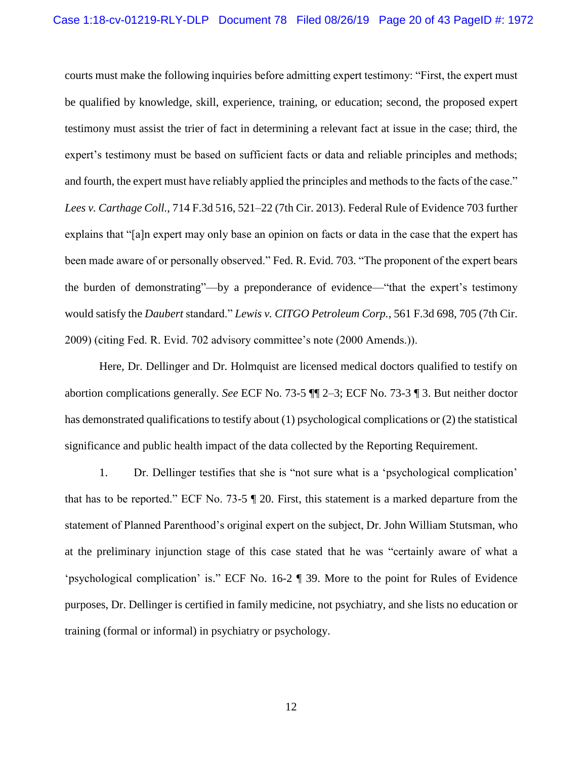<span id="page-19-0"></span>courts must make the following inquiries before admitting expert testimony: "First, the expert must be qualified by knowledge, skill, experience, training, or education; second, the proposed expert testimony must assist the trier of fact in determining a relevant fact at issue in the case; third, the expert's testimony must be based on sufficient facts or data and reliable principles and methods; and fourth, the expert must have reliably applied the principles and methods to the facts of the case." *Lees v. Carthage Coll.*, 714 F.3d 516, 521–22 (7th Cir. 2013). Federal Rule of Evidence 703 further explains that "[a]n expert may only base an opinion on facts or data in the case that the expert has been made aware of or personally observed." Fed. R. Evid. 703. "The proponent of the expert bears the burden of demonstrating"—by a preponderance of evidence—"that the expert's testimony would satisfy the *Daubert* standard." *Lewis v. CITGO Petroleum Corp.*, 561 F.3d 698, 705 (7th Cir. 2009) (citing Fed. R. Evid. 702 advisory committee's note (2000 Amends.)).

<span id="page-19-3"></span><span id="page-19-2"></span><span id="page-19-1"></span>Here, Dr. Dellinger and Dr. Holmquist are licensed medical doctors qualified to testify on abortion complications generally. *See* ECF No. 73-5 ¶¶ 2–3; ECF No. 73-3 ¶ 3. But neither doctor has demonstrated qualifications to testify about (1) psychological complications or (2) the statistical significance and public health impact of the data collected by the Reporting Requirement.

1. Dr. Dellinger testifies that she is "not sure what is a 'psychological complication' that has to be reported." ECF No. 73-5 ¶ 20. First, this statement is a marked departure from the statement of Planned Parenthood's original expert on the subject, Dr. John William Stutsman, who at the preliminary injunction stage of this case stated that he was "certainly aware of what a 'psychological complication' is." ECF No. 16-2 ¶ 39. More to the point for Rules of Evidence purposes, Dr. Dellinger is certified in family medicine, not psychiatry, and she lists no education or training (formal or informal) in psychiatry or psychology.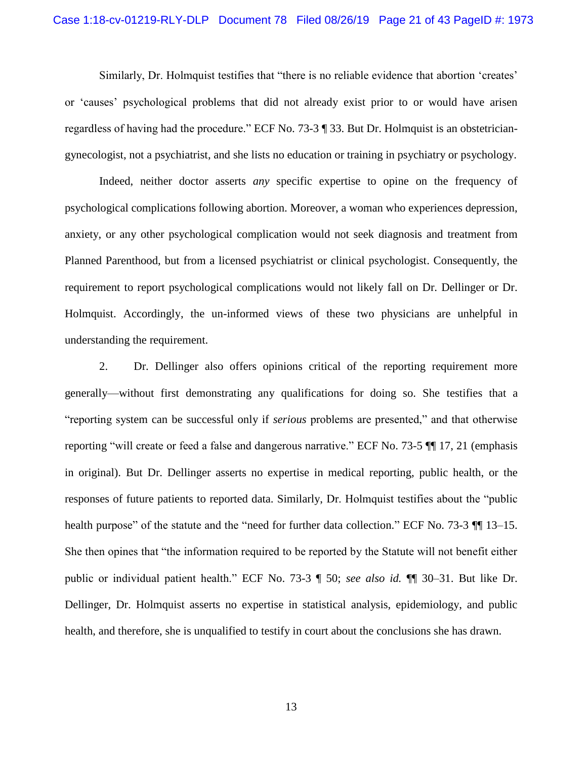Similarly, Dr. Holmquist testifies that "there is no reliable evidence that abortion 'creates' or 'causes' psychological problems that did not already exist prior to or would have arisen regardless of having had the procedure." ECF No. 73-3 ¶ 33. But Dr. Holmquist is an obstetriciangynecologist, not a psychiatrist, and she lists no education or training in psychiatry or psychology.

Indeed, neither doctor asserts *any* specific expertise to opine on the frequency of psychological complications following abortion. Moreover, a woman who experiences depression, anxiety, or any other psychological complication would not seek diagnosis and treatment from Planned Parenthood, but from a licensed psychiatrist or clinical psychologist. Consequently, the requirement to report psychological complications would not likely fall on Dr. Dellinger or Dr. Holmquist. Accordingly, the un-informed views of these two physicians are unhelpful in understanding the requirement.

2. Dr. Dellinger also offers opinions critical of the reporting requirement more generally—without first demonstrating any qualifications for doing so. She testifies that a "reporting system can be successful only if *serious* problems are presented," and that otherwise reporting "will create or feed a false and dangerous narrative." ECF No. 73-5 ¶¶ 17, 21 (emphasis in original). But Dr. Dellinger asserts no expertise in medical reporting, public health, or the responses of future patients to reported data. Similarly, Dr. Holmquist testifies about the "public health purpose" of the statute and the "need for further data collection." ECF No. 73-3  $\P$  13–15. She then opines that "the information required to be reported by the Statute will not benefit either public or individual patient health." ECF No. 73-3 ¶ 50; *see also id.* ¶¶ 30–31. But like Dr. Dellinger, Dr. Holmquist asserts no expertise in statistical analysis, epidemiology, and public health, and therefore, she is unqualified to testify in court about the conclusions she has drawn.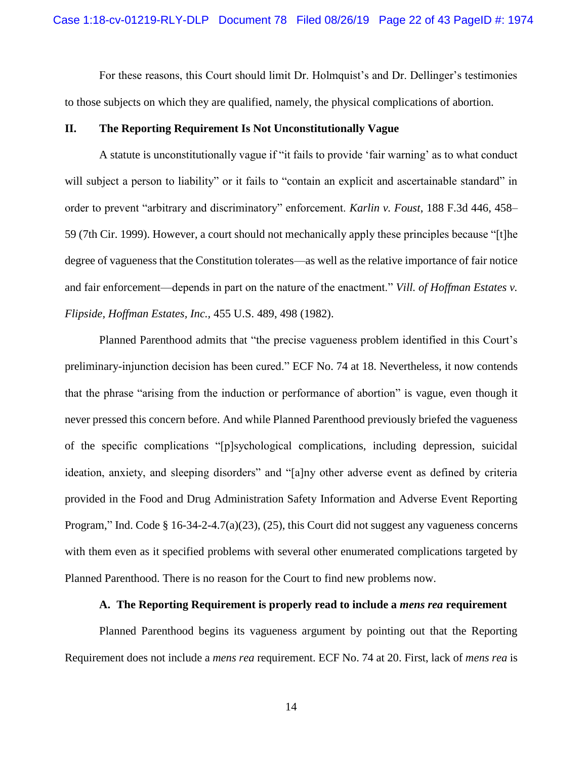For these reasons, this Court should limit Dr. Holmquist's and Dr. Dellinger's testimonies to those subjects on which they are qualified, namely, the physical complications of abortion.

### **II. The Reporting Requirement Is Not Unconstitutionally Vague**

<span id="page-21-0"></span>A statute is unconstitutionally vague if "it fails to provide 'fair warning' as to what conduct will subject a person to liability" or it fails to "contain an explicit and ascertainable standard" in order to prevent "arbitrary and discriminatory" enforcement. *Karlin v. Foust*, 188 F.3d 446, 458– 59 (7th Cir. 1999). However, a court should not mechanically apply these principles because "[t]he degree of vagueness that the Constitution tolerates—as well as the relative importance of fair notice and fair enforcement—depends in part on the nature of the enactment." *Vill. of Hoffman Estates v. Flipside, Hoffman Estates, Inc.,* 455 U.S. 489, 498 (1982).

<span id="page-21-1"></span>Planned Parenthood admits that "the precise vagueness problem identified in this Court's preliminary-injunction decision has been cured." ECF No. 74 at 18. Nevertheless, it now contends that the phrase "arising from the induction or performance of abortion" is vague, even though it never pressed this concern before. And while Planned Parenthood previously briefed the vagueness of the specific complications "[p]sychological complications, including depression, suicidal ideation, anxiety, and sleeping disorders" and "[a]ny other adverse event as defined by criteria provided in the Food and Drug Administration Safety Information and Adverse Event Reporting Program," Ind. Code § 16-34-2-4.7(a)(23), (25), this Court did not suggest any vagueness concerns with them even as it specified problems with several other enumerated complications targeted by Planned Parenthood. There is no reason for the Court to find new problems now.

#### **A. The Reporting Requirement is properly read to include a** *mens rea* **requirement**

Planned Parenthood begins its vagueness argument by pointing out that the Reporting Requirement does not include a *mens rea* requirement. ECF No. 74 at 20. First, lack of *mens rea* is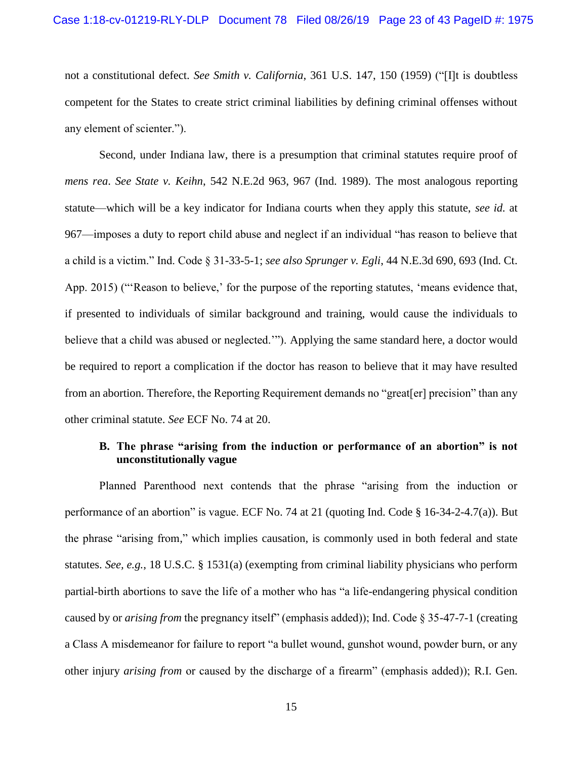<span id="page-22-0"></span>not a constitutional defect. *See Smith v. California*, 361 U.S. 147, 150 (1959) ("[I]t is doubtless competent for the States to create strict criminal liabilities by defining criminal offenses without any element of scienter.").

<span id="page-22-4"></span><span id="page-22-2"></span><span id="page-22-1"></span>Second, under Indiana law, there is a presumption that criminal statutes require proof of *mens rea*. *See State v. Keihn*, 542 N.E.2d 963, 967 (Ind. 1989). The most analogous reporting statute—which will be a key indicator for Indiana courts when they apply this statute, *see id.* at 967—imposes a duty to report child abuse and neglect if an individual "has reason to believe that a child is a victim." Ind. Code § 31-33-5-1; *see also Sprunger v. Egli*, 44 N.E.3d 690, 693 (Ind. Ct. App. 2015) ("'Reason to believe,' for the purpose of the reporting statutes, 'means evidence that, if presented to individuals of similar background and training, would cause the individuals to believe that a child was abused or neglected.'"). Applying the same standard here, a doctor would be required to report a complication if the doctor has reason to believe that it may have resulted from an abortion. Therefore, the Reporting Requirement demands no "great[er] precision" than any other criminal statute. *See* ECF No. 74 at 20.

## <span id="page-22-6"></span><span id="page-22-5"></span>**B. The phrase "arising from the induction or performance of an abortion" is not unconstitutionally vague**

<span id="page-22-3"></span>Planned Parenthood next contends that the phrase "arising from the induction or performance of an abortion" is vague. ECF No. 74 at 21 (quoting Ind. Code § 16-34-2-4.7(a)). But the phrase "arising from," which implies causation, is commonly used in both federal and state statutes. *See, e.g.*, 18 U.S.C. § 1531(a) (exempting from criminal liability physicians who perform partial-birth abortions to save the life of a mother who has "a life-endangering physical condition caused by or *arising from* the pregnancy itself" (emphasis added)); Ind. Code § 35-47-7-1 (creating a Class A misdemeanor for failure to report "a bullet wound, gunshot wound, powder burn, or any other injury *arising from* or caused by the discharge of a firearm" (emphasis added)); R.I. Gen.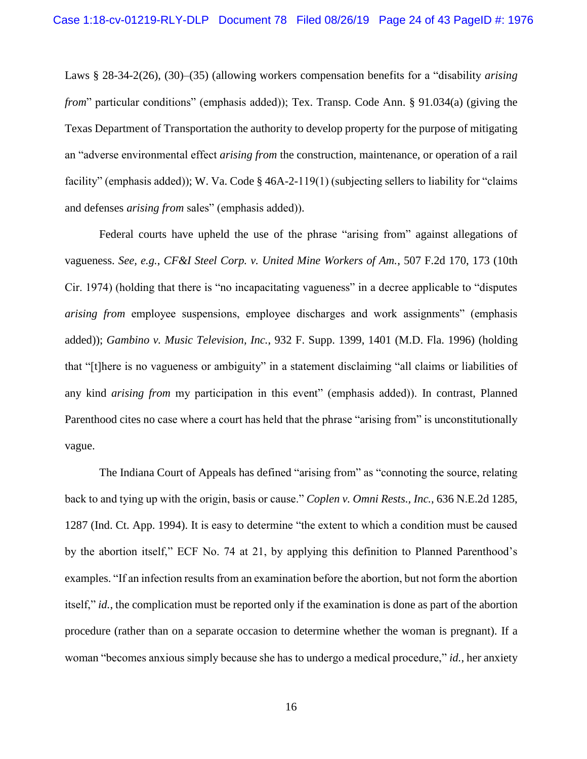<span id="page-23-3"></span>Laws § 28-34-2(26), (30)–(35) (allowing workers compensation benefits for a "disability *arising from*" particular conditions" (emphasis added)); Tex. Transp. Code Ann. § 91.034(a) (giving the Texas Department of Transportation the authority to develop property for the purpose of mitigating an "adverse environmental effect *arising from* the construction, maintenance, or operation of a rail facility" (emphasis added)); W. Va. Code § 46A-2-119(1) (subjecting sellers to liability for "claims" and defenses *arising from* sales" (emphasis added)).

<span id="page-23-4"></span><span id="page-23-2"></span><span id="page-23-0"></span>Federal courts have upheld the use of the phrase "arising from" against allegations of vagueness. *See, e.g.*, *CF&I Steel Corp. v. United Mine Workers of Am.*, 507 F.2d 170, 173 (10th Cir. 1974) (holding that there is "no incapacitating vagueness" in a decree applicable to "disputes *arising from* employee suspensions, employee discharges and work assignments" (emphasis added)); *Gambino v. Music Television, Inc.*, 932 F. Supp. 1399, 1401 (M.D. Fla. 1996) (holding that "[t]here is no vagueness or ambiguity" in a statement disclaiming "all claims or liabilities of any kind *arising from* my participation in this event" (emphasis added)). In contrast, Planned Parenthood cites no case where a court has held that the phrase "arising from" is unconstitutionally vague.

<span id="page-23-1"></span>The Indiana Court of Appeals has defined "arising from" as "connoting the source, relating back to and tying up with the origin, basis or cause." *Coplen v. Omni Rests., Inc.*, 636 N.E.2d 1285, 1287 (Ind. Ct. App. 1994). It is easy to determine "the extent to which a condition must be caused by the abortion itself," ECF No. 74 at 21, by applying this definition to Planned Parenthood's examples. "If an infection results from an examination before the abortion, but not form the abortion itself," *id.*, the complication must be reported only if the examination is done as part of the abortion procedure (rather than on a separate occasion to determine whether the woman is pregnant). If a woman "becomes anxious simply because she has to undergo a medical procedure," *id.*, her anxiety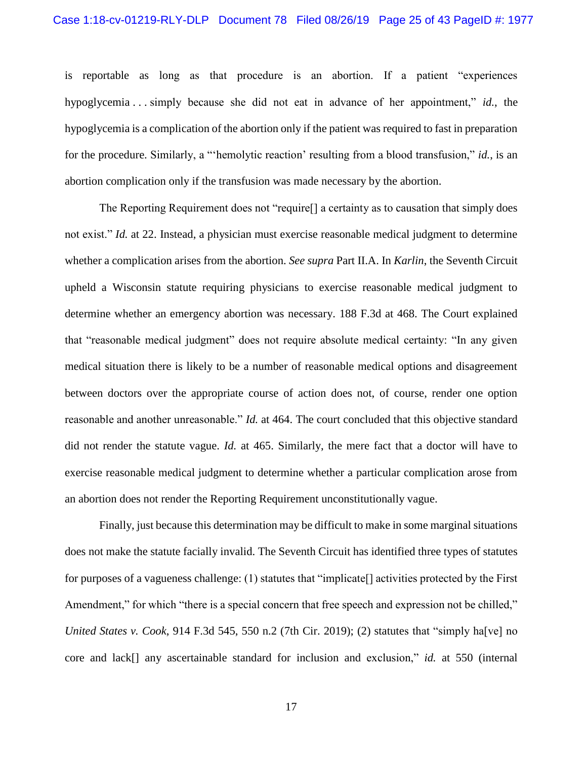is reportable as long as that procedure is an abortion. If a patient "experiences hypoglycemia . . . simply because she did not eat in advance of her appointment," *id.*, the hypoglycemia is a complication of the abortion only if the patient was required to fast in preparation for the procedure. Similarly, a "'hemolytic reaction' resulting from a blood transfusion," *id.*, is an abortion complication only if the transfusion was made necessary by the abortion.

<span id="page-24-0"></span>The Reporting Requirement does not "require[] a certainty as to causation that simply does not exist." *Id.* at 22. Instead, a physician must exercise reasonable medical judgment to determine whether a complication arises from the abortion. *See supra* Part II.A. In *Karlin*, the Seventh Circuit upheld a Wisconsin statute requiring physicians to exercise reasonable medical judgment to determine whether an emergency abortion was necessary. 188 F.3d at 468. The Court explained that "reasonable medical judgment" does not require absolute medical certainty: "In any given medical situation there is likely to be a number of reasonable medical options and disagreement between doctors over the appropriate course of action does not, of course, render one option reasonable and another unreasonable." *Id.* at 464. The court concluded that this objective standard did not render the statute vague. *Id.* at 465. Similarly, the mere fact that a doctor will have to exercise reasonable medical judgment to determine whether a particular complication arose from an abortion does not render the Reporting Requirement unconstitutionally vague.

<span id="page-24-1"></span>Finally, just because this determination may be difficult to make in some marginal situations does not make the statute facially invalid. The Seventh Circuit has identified three types of statutes for purposes of a vagueness challenge: (1) statutes that "implicate[] activities protected by the First Amendment," for which "there is a special concern that free speech and expression not be chilled," *United States v. Cook*, 914 F.3d 545, 550 n.2 (7th Cir. 2019); (2) statutes that "simply ha[ve] no core and lack[] any ascertainable standard for inclusion and exclusion," *id.* at 550 (internal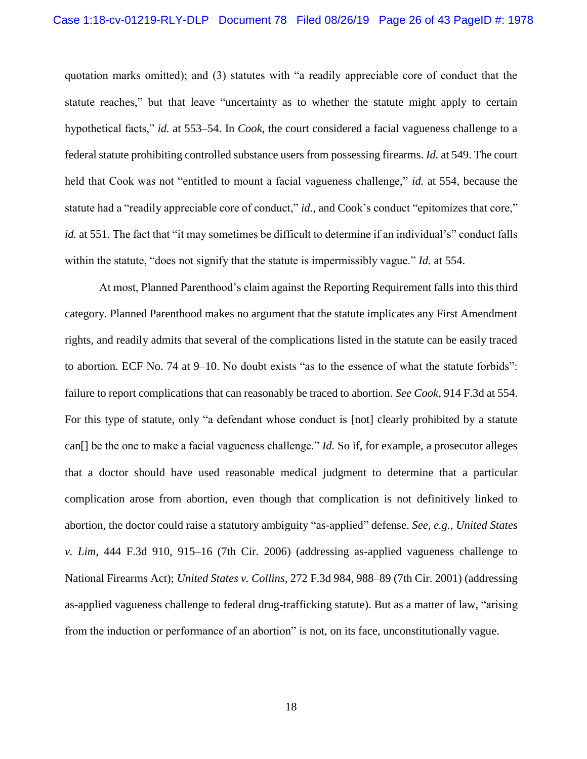<span id="page-25-1"></span>quotation marks omitted); and (3) statutes with "a readily appreciable core of conduct that the statute reaches," but that leave "uncertainty as to whether the statute might apply to certain hypothetical facts," *id.* at 553–54. In *Cook*, the court considered a facial vagueness challenge to a federal statute prohibiting controlled substance users from possessing firearms. *Id.* at 549. The court held that Cook was not "entitled to mount a facial vagueness challenge," *id.* at 554, because the statute had a "readily appreciable core of conduct," *id.*, and Cook's conduct "epitomizes that core," *id.* at 551. The fact that "it may sometimes be difficult to determine if an individual's" conduct falls within the statute, "does not signify that the statute is impermissibly vague." *Id.* at 554.

<span id="page-25-2"></span><span id="page-25-0"></span>At most, Planned Parenthood's claim against the Reporting Requirement falls into this third category. Planned Parenthood makes no argument that the statute implicates any First Amendment rights, and readily admits that several of the complications listed in the statute can be easily traced to abortion. ECF No. 74 at 9–10. No doubt exists "as to the essence of what the statute forbids": failure to report complications that can reasonably be traced to abortion. *See Cook*, 914 F.3d at 554. For this type of statute, only "a defendant whose conduct is [not] clearly prohibited by a statute can[] be the one to make a facial vagueness challenge." *Id.* So if, for example, a prosecutor alleges that a doctor should have used reasonable medical judgment to determine that a particular complication arose from abortion, even though that complication is not definitively linked to abortion, the doctor could raise a statutory ambiguity "as-applied" defense. *See, e.g.*, *United States v. Lim*, 444 F.3d 910, 915–16 (7th Cir. 2006) (addressing as-applied vagueness challenge to National Firearms Act); *United States v. Collins*, 272 F.3d 984, 988–89 (7th Cir. 2001) (addressing as-applied vagueness challenge to federal drug-trafficking statute). But as a matter of law, "arising from the induction or performance of an abortion" is not, on its face, unconstitutionally vague.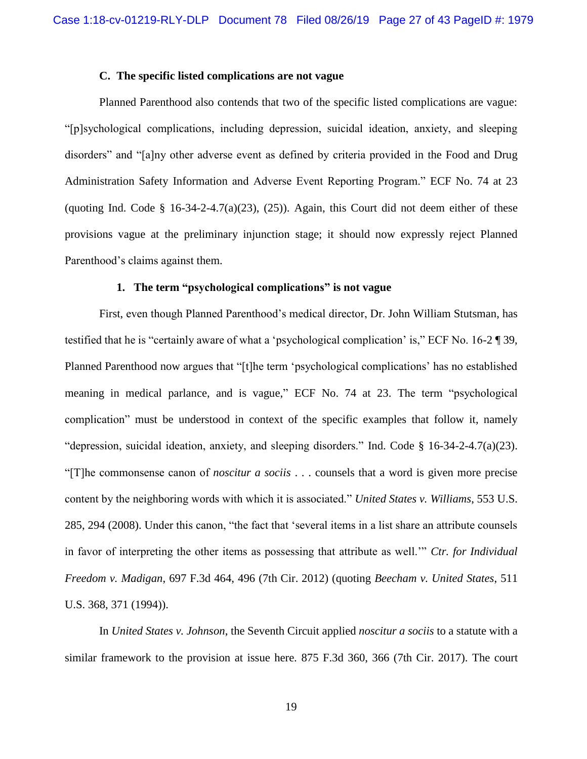## **C. The specific listed complications are not vague**

Planned Parenthood also contends that two of the specific listed complications are vague: "[p]sychological complications, including depression, suicidal ideation, anxiety, and sleeping disorders" and "[a]ny other adverse event as defined by criteria provided in the Food and Drug Administration Safety Information and Adverse Event Reporting Program." ECF No. 74 at 23 (quoting Ind. Code  $\S$  16-34-2-4.7(a)(23), (25)). Again, this Court did not deem either of these provisions vague at the preliminary injunction stage; it should now expressly reject Planned Parenthood's claims against them.

#### <span id="page-26-4"></span><span id="page-26-3"></span>**1. The term "psychological complications" is not vague**

First, even though Planned Parenthood's medical director, Dr. John William Stutsman, has testified that he is "certainly aware of what a 'psychological complication' is," ECF No. 16-2 ¶ 39, Planned Parenthood now argues that "[t]he term 'psychological complications' has no established meaning in medical parlance, and is vague," ECF No. 74 at 23. The term "psychological complication" must be understood in context of the specific examples that follow it, namely "depression, suicidal ideation, anxiety, and sleeping disorders." Ind. Code § 16-34-2-4.7(a)(23). "[T]he commonsense canon of *noscitur a sociis* . . . counsels that a word is given more precise content by the neighboring words with which it is associated." *United States v. Williams*, 553 U.S. 285, 294 (2008). Under this canon, "the fact that 'several items in a list share an attribute counsels in favor of interpreting the other items as possessing that attribute as well.'" *Ctr. for Individual Freedom v. Madigan*, 697 F.3d 464, 496 (7th Cir. 2012) (quoting *Beecham v. United States*, 511 U.S. 368, 371 (1994)).

<span id="page-26-2"></span><span id="page-26-1"></span><span id="page-26-0"></span>In *United States v. Johnson*, the Seventh Circuit applied *noscitur a sociis* to a statute with a similar framework to the provision at issue here. 875 F.3d 360, 366 (7th Cir. 2017). The court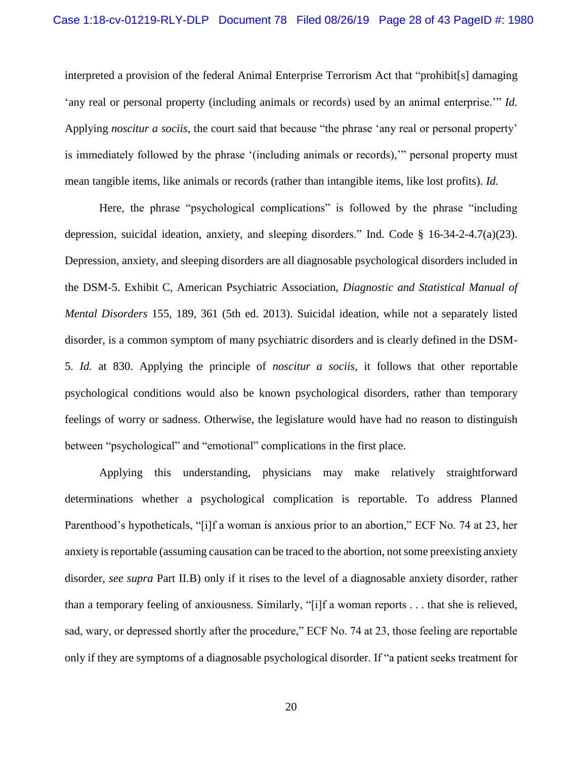<span id="page-27-0"></span>interpreted a provision of the federal Animal Enterprise Terrorism Act that "prohibit[s] damaging 'any real or personal property (including animals or records) used by an animal enterprise.'" *Id.* Applying *noscitur a sociis*, the court said that because "the phrase 'any real or personal property' is immediately followed by the phrase '(including animals or records),'" personal property must mean tangible items, like animals or records (rather than intangible items, like lost profits). *Id.*

<span id="page-27-1"></span>Here, the phrase "psychological complications" is followed by the phrase "including depression, suicidal ideation, anxiety, and sleeping disorders." Ind. Code § 16-34-2-4.7(a)(23). Depression, anxiety, and sleeping disorders are all diagnosable psychological disorders included in the DSM-5. Exhibit C, American Psychiatric Association, *Diagnostic and Statistical Manual of Mental Disorders* 155, 189, 361 (5th ed. 2013). Suicidal ideation, while not a separately listed disorder, is a common symptom of many psychiatric disorders and is clearly defined in the DSM-5. *Id.* at 830. Applying the principle of *noscitur a sociis*, it follows that other reportable psychological conditions would also be known psychological disorders, rather than temporary feelings of worry or sadness. Otherwise, the legislature would have had no reason to distinguish between "psychological" and "emotional" complications in the first place.

Applying this understanding, physicians may make relatively straightforward determinations whether a psychological complication is reportable. To address Planned Parenthood's hypotheticals, "[i]f a woman is anxious prior to an abortion," ECF No. 74 at 23, her anxiety is reportable (assuming causation can be traced to the abortion, not some preexisting anxiety disorder, *see supra* Part II.B) only if it rises to the level of a diagnosable anxiety disorder, rather than a temporary feeling of anxiousness. Similarly, "[i]f a woman reports . . . that she is relieved, sad, wary, or depressed shortly after the procedure," ECF No. 74 at 23, those feeling are reportable only if they are symptoms of a diagnosable psychological disorder. If "a patient seeks treatment for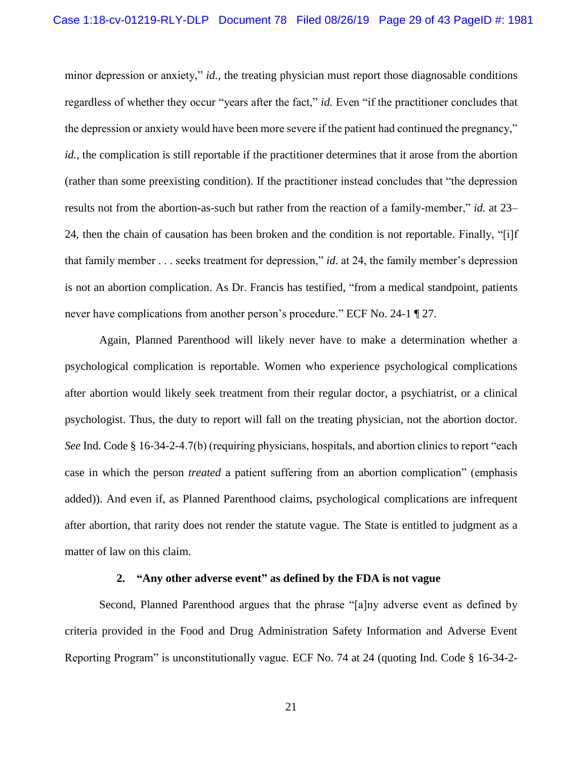minor depression or anxiety," *id.*, the treating physician must report those diagnosable conditions regardless of whether they occur "years after the fact," *id.* Even "if the practitioner concludes that the depression or anxiety would have been more severe if the patient had continued the pregnancy," *id.*, the complication is still reportable if the practitioner determines that it arose from the abortion (rather than some preexisting condition). If the practitioner instead concludes that "the depression results not from the abortion-as-such but rather from the reaction of a family-member," *id.* at 23– 24, then the chain of causation has been broken and the condition is not reportable. Finally, "[i]f that family member . . . seeks treatment for depression," *id.* at 24, the family member's depression is not an abortion complication. As Dr. Francis has testified, "from a medical standpoint, patients never have complications from another person's procedure." ECF No. 24-1 ¶ 27.

Again, Planned Parenthood will likely never have to make a determination whether a psychological complication is reportable. Women who experience psychological complications after abortion would likely seek treatment from their regular doctor, a psychiatrist, or a clinical psychologist. Thus, the duty to report will fall on the treating physician, not the abortion doctor. *See* Ind. Code § 16-34-2-4.7(b) (requiring physicians, hospitals, and abortion clinics to report "each case in which the person *treated* a patient suffering from an abortion complication" (emphasis added)). And even if, as Planned Parenthood claims, psychological complications are infrequent after abortion, that rarity does not render the statute vague. The State is entitled to judgment as a matter of law on this claim.

#### **2. "Any other adverse event" as defined by the FDA is not vague**

Second, Planned Parenthood argues that the phrase "[a]ny adverse event as defined by criteria provided in the Food and Drug Administration Safety Information and Adverse Event Reporting Program" is unconstitutionally vague. ECF No. 74 at 24 (quoting Ind. Code § 16-34-2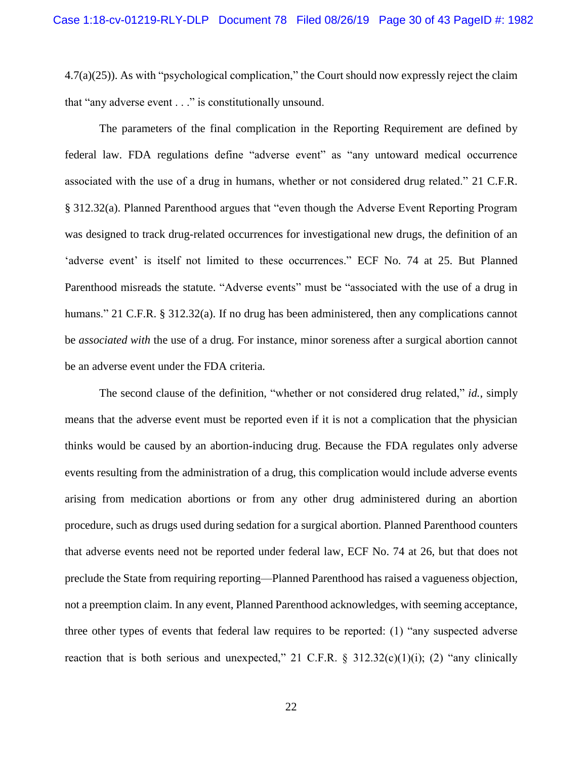4.7(a)(25)). As with "psychological complication," the Court should now expressly reject the claim that "any adverse event . . ." is constitutionally unsound.

<span id="page-29-0"></span>The parameters of the final complication in the Reporting Requirement are defined by federal law. FDA regulations define "adverse event" as "any untoward medical occurrence associated with the use of a drug in humans, whether or not considered drug related." 21 C.F.R. § 312.32(a). Planned Parenthood argues that "even though the Adverse Event Reporting Program was designed to track drug-related occurrences for investigational new drugs, the definition of an 'adverse event' is itself not limited to these occurrences." ECF No. 74 at 25. But Planned Parenthood misreads the statute. "Adverse events" must be "associated with the use of a drug in humans." 21 C.F.R. § 312.32(a). If no drug has been administered, then any complications cannot be *associated with* the use of a drug. For instance, minor soreness after a surgical abortion cannot be an adverse event under the FDA criteria.

<span id="page-29-1"></span>The second clause of the definition, "whether or not considered drug related," *id.*, simply means that the adverse event must be reported even if it is not a complication that the physician thinks would be caused by an abortion-inducing drug. Because the FDA regulates only adverse events resulting from the administration of a drug, this complication would include adverse events arising from medication abortions or from any other drug administered during an abortion procedure, such as drugs used during sedation for a surgical abortion. Planned Parenthood counters that adverse events need not be reported under federal law, ECF No. 74 at 26, but that does not preclude the State from requiring reporting—Planned Parenthood has raised a vagueness objection, not a preemption claim. In any event, Planned Parenthood acknowledges, with seeming acceptance, three other types of events that federal law requires to be reported: (1) "any suspected adverse reaction that is both serious and unexpected," 21 C.F.R. § 312.32(c)(1)(i); (2) "any clinically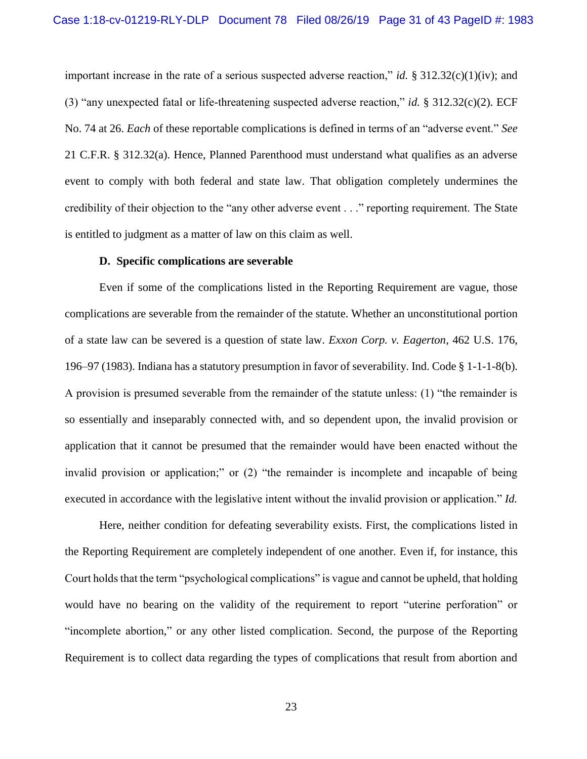<span id="page-30-4"></span><span id="page-30-3"></span><span id="page-30-2"></span>important increase in the rate of a serious suspected adverse reaction," *id.* § 312.32(c)(1)(iv); and (3) "any unexpected fatal or life-threatening suspected adverse reaction," *id.* § 312.32(c)(2). ECF No. 74 at 26. *Each* of these reportable complications is defined in terms of an "adverse event." *See*  21 C.F.R. § 312.32(a). Hence, Planned Parenthood must understand what qualifies as an adverse event to comply with both federal and state law. That obligation completely undermines the credibility of their objection to the "any other adverse event . . ." reporting requirement. The State is entitled to judgment as a matter of law on this claim as well.

#### <span id="page-30-1"></span><span id="page-30-0"></span>**D. Specific complications are severable**

Even if some of the complications listed in the Reporting Requirement are vague, those complications are severable from the remainder of the statute. Whether an unconstitutional portion of a state law can be severed is a question of state law. *Exxon Corp. v. Eagerton*, 462 U.S. 176, 196–97 (1983). Indiana has a statutory presumption in favor of severability. Ind. Code § 1-1-1-8(b). A provision is presumed severable from the remainder of the statute unless: (1) "the remainder is so essentially and inseparably connected with, and so dependent upon, the invalid provision or application that it cannot be presumed that the remainder would have been enacted without the invalid provision or application;" or (2) "the remainder is incomplete and incapable of being executed in accordance with the legislative intent without the invalid provision or application." *Id.*

Here, neither condition for defeating severability exists. First, the complications listed in the Reporting Requirement are completely independent of one another. Even if, for instance, this Court holds that the term "psychological complications" is vague and cannot be upheld, that holding would have no bearing on the validity of the requirement to report "uterine perforation" or "incomplete abortion," or any other listed complication. Second, the purpose of the Reporting Requirement is to collect data regarding the types of complications that result from abortion and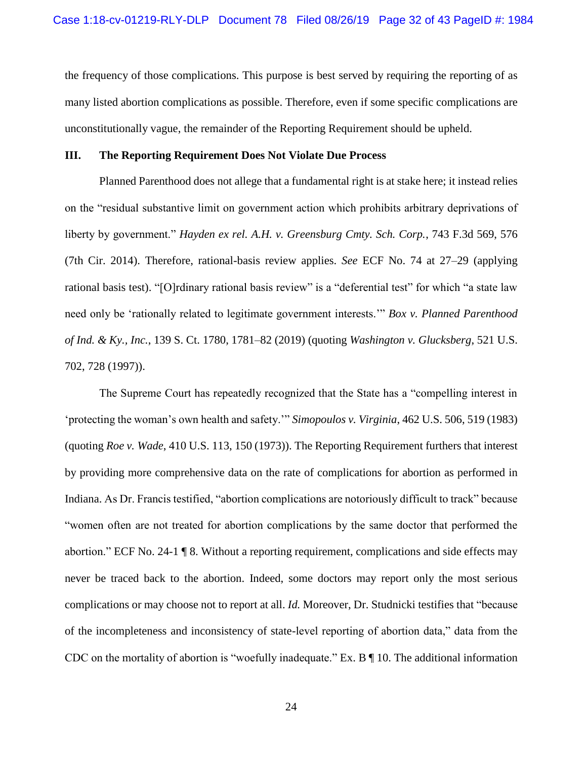the frequency of those complications. This purpose is best served by requiring the reporting of as many listed abortion complications as possible. Therefore, even if some specific complications are unconstitutionally vague, the remainder of the Reporting Requirement should be upheld.

#### **III. The Reporting Requirement Does Not Violate Due Process**

<span id="page-31-0"></span>Planned Parenthood does not allege that a fundamental right is at stake here; it instead relies on the "residual substantive limit on government action which prohibits arbitrary deprivations of liberty by government." *Hayden ex rel. A.H. v. Greensburg Cmty. Sch. Corp.*, 743 F.3d 569, 576 (7th Cir. 2014). Therefore, rational-basis review applies. *See* ECF No. 74 at 27–29 (applying rational basis test). "[O]rdinary rational basis review" is a "deferential test" for which "a state law need only be 'rationally related to legitimate government interests.'" *Box v. Planned Parenthood of Ind. & Ky., Inc.*, 139 S. Ct. 1780, 1781–82 (2019) (quoting *Washington v. Glucksberg*, 521 U.S. 702, 728 (1997)).

<span id="page-31-4"></span><span id="page-31-3"></span><span id="page-31-2"></span><span id="page-31-1"></span>The Supreme Court has repeatedly recognized that the State has a "compelling interest in 'protecting the woman's own health and safety.'" *Simopoulos v. Virginia*, 462 U.S. 506, 519 (1983) (quoting *Roe v. Wade*, 410 U.S. 113, 150 (1973)). The Reporting Requirement furthers that interest by providing more comprehensive data on the rate of complications for abortion as performed in Indiana. As Dr. Francis testified, "abortion complications are notoriously difficult to track" because "women often are not treated for abortion complications by the same doctor that performed the abortion." ECF No. 24-1 ¶ 8. Without a reporting requirement, complications and side effects may never be traced back to the abortion. Indeed, some doctors may report only the most serious complications or may choose not to report at all. *Id.* Moreover, Dr. Studnicki testifies that "because of the incompleteness and inconsistency of state-level reporting of abortion data," data from the CDC on the mortality of abortion is "woefully inadequate." Ex. B ¶ 10. The additional information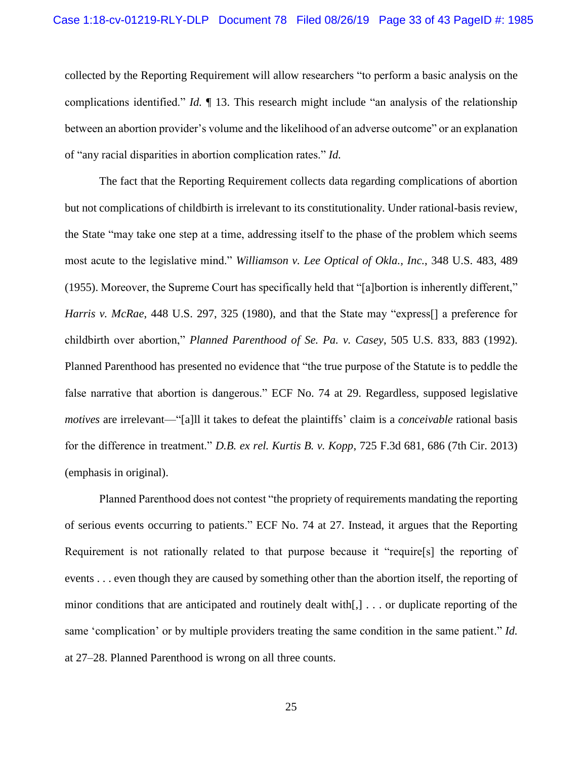collected by the Reporting Requirement will allow researchers "to perform a basic analysis on the complications identified." *Id.* ¶ 13. This research might include "an analysis of the relationship between an abortion provider's volume and the likelihood of an adverse outcome" or an explanation of "any racial disparities in abortion complication rates." *Id.*

<span id="page-32-3"></span><span id="page-32-2"></span><span id="page-32-0"></span>The fact that the Reporting Requirement collects data regarding complications of abortion but not complications of childbirth is irrelevant to its constitutionality. Under rational-basis review, the State "may take one step at a time, addressing itself to the phase of the problem which seems most acute to the legislative mind." *Williamson v. Lee Optical of Okla., Inc.*, 348 U.S. 483, 489 (1955). Moreover, the Supreme Court has specifically held that "[a]bortion is inherently different," *Harris v. McRae*, 448 U.S. 297, 325 (1980), and that the State may "express[] a preference for childbirth over abortion," *Planned Parenthood of Se. Pa. v. Casey*, 505 U.S. 833, 883 (1992). Planned Parenthood has presented no evidence that "the true purpose of the Statute is to peddle the false narrative that abortion is dangerous." ECF No. 74 at 29. Regardless, supposed legislative *motives* are irrelevant—"[a]ll it takes to defeat the plaintiffs' claim is a *conceivable* rational basis for the difference in treatment." *D.B. ex rel. Kurtis B. v. Kopp*, 725 F.3d 681, 686 (7th Cir. 2013) (emphasis in original).

<span id="page-32-1"></span>Planned Parenthood does not contest "the propriety of requirements mandating the reporting of serious events occurring to patients." ECF No. 74 at 27. Instead, it argues that the Reporting Requirement is not rationally related to that purpose because it "require[s] the reporting of events . . . even though they are caused by something other than the abortion itself, the reporting of minor conditions that are anticipated and routinely dealt with[,] . . . or duplicate reporting of the same 'complication' or by multiple providers treating the same condition in the same patient." *Id.* at 27–28. Planned Parenthood is wrong on all three counts.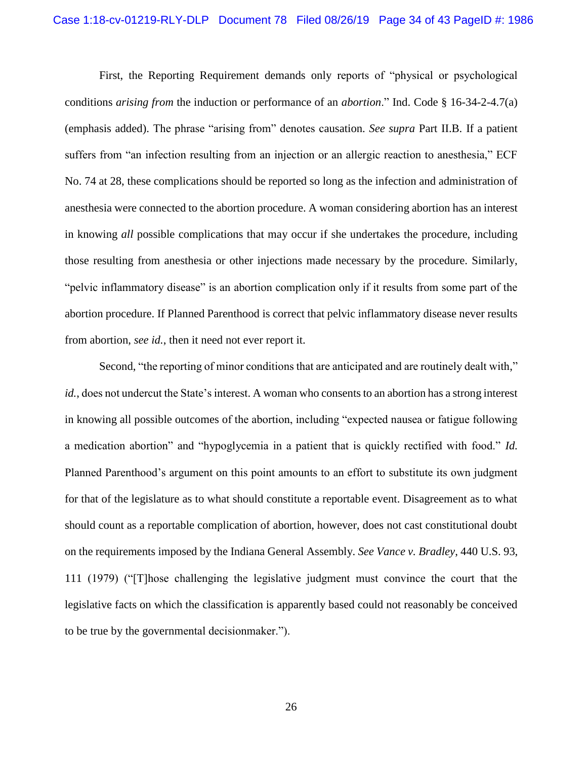<span id="page-33-1"></span>First, the Reporting Requirement demands only reports of "physical or psychological conditions *arising from* the induction or performance of an *abortion*." Ind. Code § 16-34-2-4.7(a) (emphasis added). The phrase "arising from" denotes causation. *See supra* Part II.B. If a patient suffers from "an infection resulting from an injection or an allergic reaction to anesthesia," ECF No. 74 at 28, these complications should be reported so long as the infection and administration of anesthesia were connected to the abortion procedure. A woman considering abortion has an interest in knowing *all* possible complications that may occur if she undertakes the procedure, including those resulting from anesthesia or other injections made necessary by the procedure. Similarly, "pelvic inflammatory disease" is an abortion complication only if it results from some part of the abortion procedure. If Planned Parenthood is correct that pelvic inflammatory disease never results from abortion, *see id.*, then it need not ever report it.

<span id="page-33-0"></span>Second, "the reporting of minor conditions that are anticipated and are routinely dealt with," *id.*, does not undercut the State's interest. A woman who consents to an abortion has a strong interest in knowing all possible outcomes of the abortion, including "expected nausea or fatigue following a medication abortion" and "hypoglycemia in a patient that is quickly rectified with food." *Id.* Planned Parenthood's argument on this point amounts to an effort to substitute its own judgment for that of the legislature as to what should constitute a reportable event. Disagreement as to what should count as a reportable complication of abortion, however, does not cast constitutional doubt on the requirements imposed by the Indiana General Assembly. *See Vance v. Bradley*, 440 U.S. 93, 111 (1979) ("[T]hose challenging the legislative judgment must convince the court that the legislative facts on which the classification is apparently based could not reasonably be conceived to be true by the governmental decisionmaker.").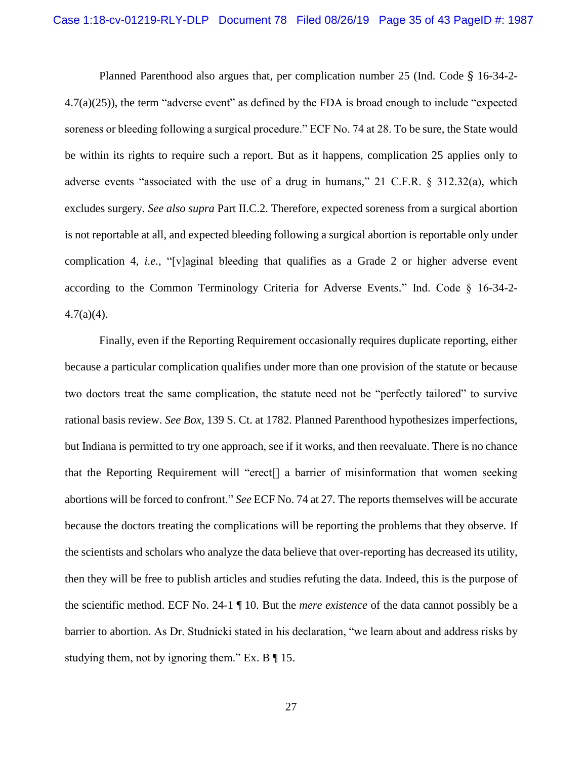<span id="page-34-2"></span>Planned Parenthood also argues that, per complication number 25 (Ind. Code § 16-34-2- 4.7(a)(25)), the term "adverse event" as defined by the FDA is broad enough to include "expected soreness or bleeding following a surgical procedure." ECF No. 74 at 28. To be sure, the State would be within its rights to require such a report. But as it happens, complication 25 applies only to adverse events "associated with the use of a drug in humans," 21 C.F.R. § 312.32(a), which excludes surgery. *See also supra* Part II.C.2. Therefore, expected soreness from a surgical abortion is not reportable at all, and expected bleeding following a surgical abortion is reportable only under complication 4, *i.e.*, "[v]aginal bleeding that qualifies as a Grade 2 or higher adverse event according to the Common Terminology Criteria for Adverse Events." Ind. Code § 16-34-2-  $4.7(a)(4)$ .

<span id="page-34-1"></span><span id="page-34-0"></span>Finally, even if the Reporting Requirement occasionally requires duplicate reporting, either because a particular complication qualifies under more than one provision of the statute or because two doctors treat the same complication, the statute need not be "perfectly tailored" to survive rational basis review. *See Box*, 139 S. Ct. at 1782. Planned Parenthood hypothesizes imperfections, but Indiana is permitted to try one approach, see if it works, and then reevaluate. There is no chance that the Reporting Requirement will "erect[] a barrier of misinformation that women seeking abortions will be forced to confront." *See* ECF No. 74 at 27. The reports themselves will be accurate because the doctors treating the complications will be reporting the problems that they observe. If the scientists and scholars who analyze the data believe that over-reporting has decreased its utility, then they will be free to publish articles and studies refuting the data. Indeed, this is the purpose of the scientific method. ECF No. 24-1 ¶ 10. But the *mere existence* of the data cannot possibly be a barrier to abortion. As Dr. Studnicki stated in his declaration, "we learn about and address risks by studying them, not by ignoring them." Ex.  $B \P 15$ .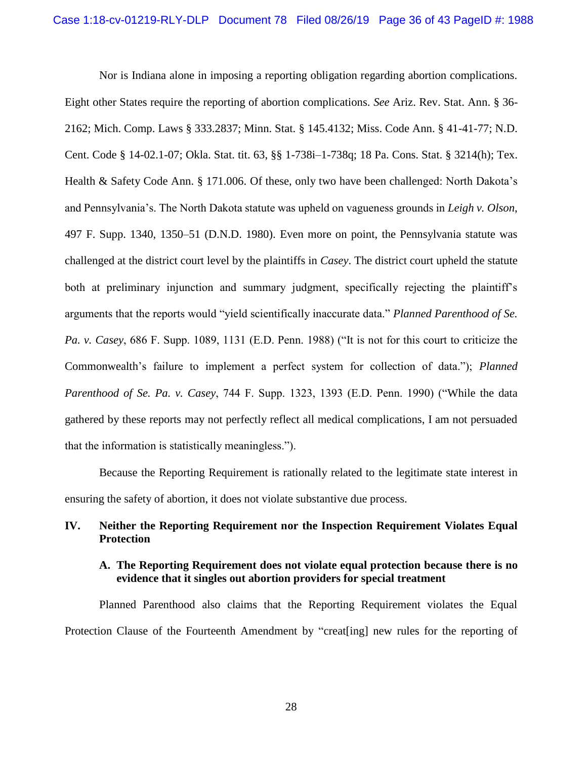<span id="page-35-10"></span><span id="page-35-9"></span><span id="page-35-8"></span><span id="page-35-7"></span><span id="page-35-6"></span><span id="page-35-4"></span><span id="page-35-3"></span><span id="page-35-0"></span>Nor is Indiana alone in imposing a reporting obligation regarding abortion complications.

<span id="page-35-5"></span>Eight other States require the reporting of abortion complications. *See* Ariz. Rev. Stat. Ann. § 36- 2162; Mich. Comp. Laws § 333.2837; Minn. Stat. § 145.4132; Miss. Code Ann. § 41-41-77; N.D. Cent. Code § 14-02.1-07; Okla. Stat. tit. 63, §§ 1-738i–1-738q; 18 Pa. Cons. Stat. § 3214(h); Tex. Health & Safety Code Ann. § 171.006. Of these, only two have been challenged: North Dakota's and Pennsylvania's. The North Dakota statute was upheld on vagueness grounds in *Leigh v. Olson*, 497 F. Supp. 1340, 1350–51 (D.N.D. 1980). Even more on point, the Pennsylvania statute was challenged at the district court level by the plaintiffs in *Casey*. The district court upheld the statute both at preliminary injunction and summary judgment, specifically rejecting the plaintiff's arguments that the reports would "yield scientifically inaccurate data." *Planned Parenthood of Se. Pa. v. Casey*, 686 F. Supp. 1089, 1131 (E.D. Penn. 1988) ("It is not for this court to criticize the Commonwealth's failure to implement a perfect system for collection of data."); *Planned Parenthood of Se. Pa. v. Casey*, 744 F. Supp. 1323, 1393 (E.D. Penn. 1990) ("While the data gathered by these reports may not perfectly reflect all medical complications, I am not persuaded that the information is statistically meaningless.").

<span id="page-35-2"></span><span id="page-35-1"></span>Because the Reporting Requirement is rationally related to the legitimate state interest in ensuring the safety of abortion, it does not violate substantive due process.

## **IV. Neither the Reporting Requirement nor the Inspection Requirement Violates Equal Protection**

## **A. The Reporting Requirement does not violate equal protection because there is no evidence that it singles out abortion providers for special treatment**

Planned Parenthood also claims that the Reporting Requirement violates the Equal Protection Clause of the Fourteenth Amendment by "creat[ing] new rules for the reporting of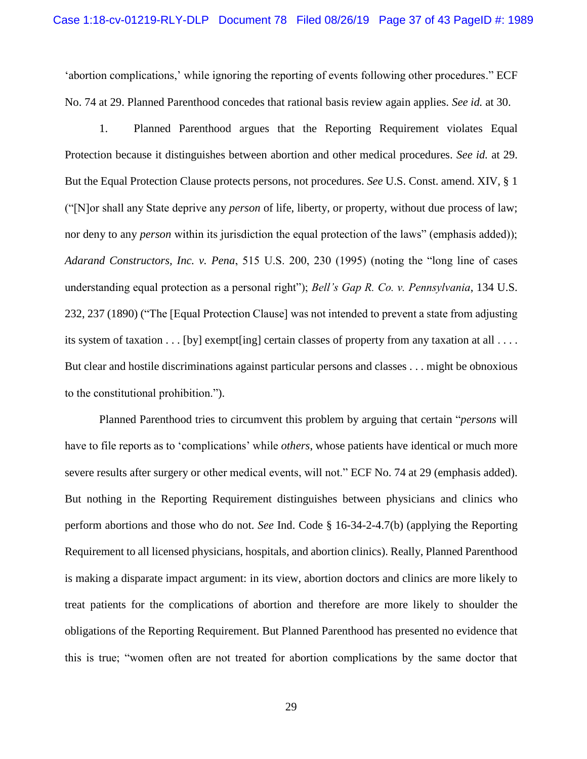'abortion complications,' while ignoring the reporting of events following other procedures." ECF No. 74 at 29. Planned Parenthood concedes that rational basis review again applies. *See id.* at 30.

<span id="page-36-2"></span><span id="page-36-0"></span>1. Planned Parenthood argues that the Reporting Requirement violates Equal Protection because it distinguishes between abortion and other medical procedures. *See id.* at 29. But the Equal Protection Clause protects persons, not procedures. *See* U.S. Const. amend. XIV, § 1 ("[N]or shall any State deprive any *person* of life, liberty, or property, without due process of law; nor deny to any *person* within its jurisdiction the equal protection of the laws" (emphasis added)); *Adarand Constructors, Inc. v. Pena*, 515 U.S. 200, 230 (1995) (noting the "long line of cases understanding equal protection as a personal right"); *Bell's Gap R. Co. v. Pennsylvania*, 134 U.S. 232, 237 (1890) ("The [Equal Protection Clause] was not intended to prevent a state from adjusting its system of taxation . . . [by] exempt[ing] certain classes of property from any taxation at all . . . . But clear and hostile discriminations against particular persons and classes . . . might be obnoxious to the constitutional prohibition.").

<span id="page-36-1"></span>Planned Parenthood tries to circumvent this problem by arguing that certain "*persons* will have to file reports as to 'complications' while *others*, whose patients have identical or much more severe results after surgery or other medical events, will not." ECF No. 74 at 29 (emphasis added). But nothing in the Reporting Requirement distinguishes between physicians and clinics who perform abortions and those who do not. *See* Ind. Code § 16-34-2-4.7(b) (applying the Reporting Requirement to all licensed physicians, hospitals, and abortion clinics). Really, Planned Parenthood is making a disparate impact argument: in its view, abortion doctors and clinics are more likely to treat patients for the complications of abortion and therefore are more likely to shoulder the obligations of the Reporting Requirement. But Planned Parenthood has presented no evidence that this is true; "women often are not treated for abortion complications by the same doctor that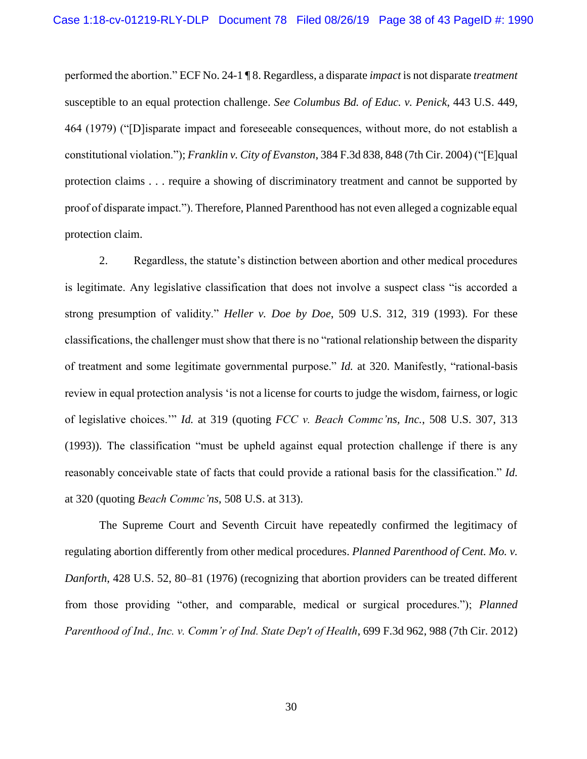<span id="page-37-2"></span><span id="page-37-0"></span>performed the abortion." ECF No. 24-1 ¶ 8. Regardless, a disparate *impact* is not disparate *treatment* susceptible to an equal protection challenge. *See Columbus Bd. of Educ. v. Penick*, 443 U.S. 449, 464 (1979) ("[D]isparate impact and foreseeable consequences, without more, do not establish a constitutional violation."); *Franklin v. City of Evanston*, 384 F.3d 838, 848 (7th Cir. 2004) ("[E]qual protection claims . . . require a showing of discriminatory treatment and cannot be supported by proof of disparate impact."). Therefore, Planned Parenthood has not even alleged a cognizable equal protection claim.

<span id="page-37-3"></span>2. Regardless, the statute's distinction between abortion and other medical procedures is legitimate. Any legislative classification that does not involve a suspect class "is accorded a strong presumption of validity." *Heller v. Doe by Doe*, 509 U.S. 312, 319 (1993). For these classifications, the challenger must show that there is no "rational relationship between the disparity of treatment and some legitimate governmental purpose." *Id.* at 320. Manifestly, "rational-basis review in equal protection analysis 'is not a license for courts to judge the wisdom, fairness, or logic of legislative choices.'" *Id.* at 319 (quoting *FCC v. Beach Commc'ns, Inc.*, 508 U.S. 307, 313 (1993)). The classification "must be upheld against equal protection challenge if there is any reasonably conceivable state of facts that could provide a rational basis for the classification." *Id.* at 320 (quoting *Beach Commc'ns*, 508 U.S. at 313).

<span id="page-37-5"></span><span id="page-37-4"></span><span id="page-37-1"></span>The Supreme Court and Seventh Circuit have repeatedly confirmed the legitimacy of regulating abortion differently from other medical procedures. *Planned Parenthood of Cent. Mo. v. Danforth*, 428 U.S. 52, 80–81 (1976) (recognizing that abortion providers can be treated different from those providing "other, and comparable, medical or surgical procedures."); *Planned Parenthood of Ind., Inc. v. Comm'r of Ind. State Dep't of Health*, 699 F.3d 962, 988 (7th Cir. 2012)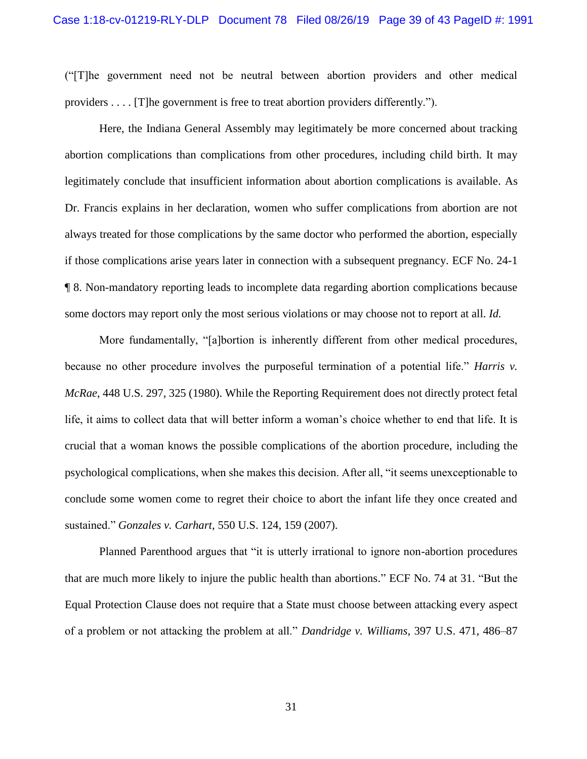("[T]he government need not be neutral between abortion providers and other medical providers . . . . [T]he government is free to treat abortion providers differently.").

Here, the Indiana General Assembly may legitimately be more concerned about tracking abortion complications than complications from other procedures, including child birth. It may legitimately conclude that insufficient information about abortion complications is available. As Dr. Francis explains in her declaration, women who suffer complications from abortion are not always treated for those complications by the same doctor who performed the abortion, especially if those complications arise years later in connection with a subsequent pregnancy. ECF No. 24-1 ¶ 8. Non-mandatory reporting leads to incomplete data regarding abortion complications because some doctors may report only the most serious violations or may choose not to report at all. *Id.*

<span id="page-38-3"></span>More fundamentally, "[a]bortion is inherently different from other medical procedures, because no other procedure involves the purposeful termination of a potential life." *Harris v. McRae*, 448 U.S. 297, 325 (1980). While the Reporting Requirement does not directly protect fetal life, it aims to collect data that will better inform a woman's choice whether to end that life. It is crucial that a woman knows the possible complications of the abortion procedure, including the psychological complications, when she makes this decision. After all, "it seems unexceptionable to conclude some women come to regret their choice to abort the infant life they once created and sustained." *Gonzales v. Carhart*, 550 U.S. 124, 159 (2007).

<span id="page-38-1"></span>Planned Parenthood argues that "it is utterly irrational to ignore non-abortion procedures that are much more likely to injure the public health than abortions." ECF No. 74 at 31. "But the Equal Protection Clause does not require that a State must choose between attacking every aspect of a problem or not attacking the problem at all." *Dandridge v. Williams*, 397 U.S. 471, 486–87

<span id="page-38-2"></span><span id="page-38-0"></span>31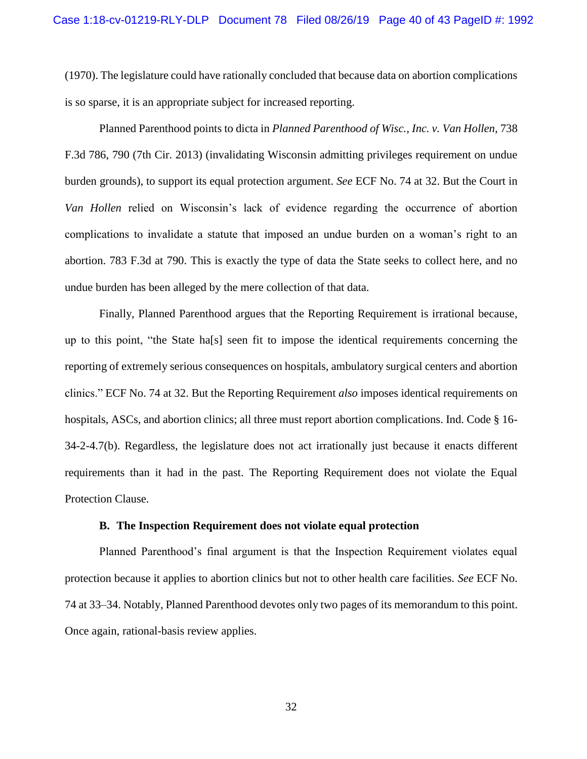(1970). The legislature could have rationally concluded that because data on abortion complications is so sparse, it is an appropriate subject for increased reporting.

<span id="page-39-0"></span>Planned Parenthood points to dicta in *Planned Parenthood of Wisc., Inc. v. Van Hollen*, 738 F.3d 786, 790 (7th Cir. 2013) (invalidating Wisconsin admitting privileges requirement on undue burden grounds), to support its equal protection argument. *See* ECF No. 74 at 32. But the Court in *Van Hollen* relied on Wisconsin's lack of evidence regarding the occurrence of abortion complications to invalidate a statute that imposed an undue burden on a woman's right to an abortion. 783 F.3d at 790. This is exactly the type of data the State seeks to collect here, and no undue burden has been alleged by the mere collection of that data.

Finally, Planned Parenthood argues that the Reporting Requirement is irrational because, up to this point, "the State ha[s] seen fit to impose the identical requirements concerning the reporting of extremely serious consequences on hospitals, ambulatory surgical centers and abortion clinics." ECF No. 74 at 32. But the Reporting Requirement *also* imposes identical requirements on hospitals, ASCs, and abortion clinics; all three must report abortion complications. Ind. Code § 16-34-2-4.7(b). Regardless, the legislature does not act irrationally just because it enacts different requirements than it had in the past. The Reporting Requirement does not violate the Equal Protection Clause.

#### **B. The Inspection Requirement does not violate equal protection**

Planned Parenthood's final argument is that the Inspection Requirement violates equal protection because it applies to abortion clinics but not to other health care facilities. *See* ECF No. 74 at 33–34. Notably, Planned Parenthood devotes only two pages of its memorandum to this point. Once again, rational-basis review applies.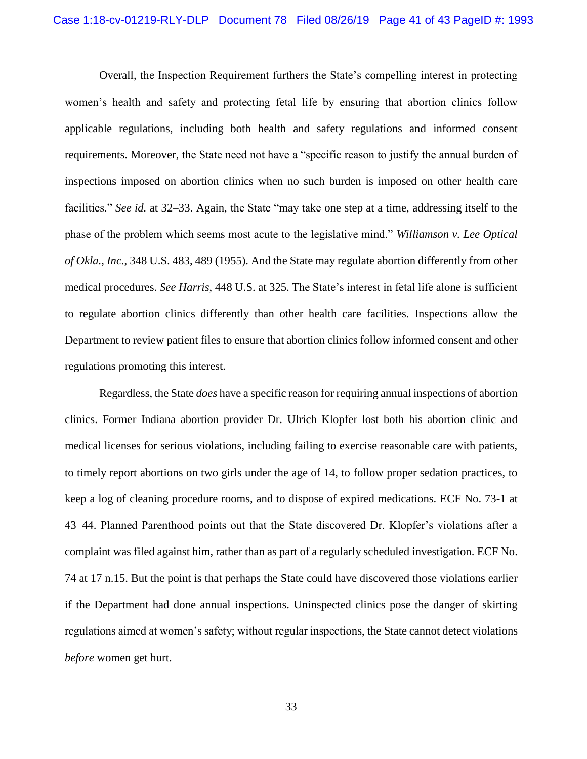<span id="page-40-1"></span>Overall, the Inspection Requirement furthers the State's compelling interest in protecting women's health and safety and protecting fetal life by ensuring that abortion clinics follow applicable regulations, including both health and safety regulations and informed consent requirements. Moreover, the State need not have a "specific reason to justify the annual burden of inspections imposed on abortion clinics when no such burden is imposed on other health care facilities." *See id.* at 32–33. Again, the State "may take one step at a time, addressing itself to the phase of the problem which seems most acute to the legislative mind." *Williamson v. Lee Optical of Okla., Inc.*, 348 U.S. 483, 489 (1955). And the State may regulate abortion differently from other medical procedures. *See Harris*, 448 U.S. at 325. The State's interest in fetal life alone is sufficient to regulate abortion clinics differently than other health care facilities. Inspections allow the Department to review patient files to ensure that abortion clinics follow informed consent and other regulations promoting this interest.

<span id="page-40-0"></span>Regardless, the State *does* have a specific reason for requiring annual inspections of abortion clinics. Former Indiana abortion provider Dr. Ulrich Klopfer lost both his abortion clinic and medical licenses for serious violations, including failing to exercise reasonable care with patients, to timely report abortions on two girls under the age of 14, to follow proper sedation practices, to keep a log of cleaning procedure rooms, and to dispose of expired medications. ECF No. 73-1 at 43–44. Planned Parenthood points out that the State discovered Dr. Klopfer's violations after a complaint was filed against him, rather than as part of a regularly scheduled investigation. ECF No. 74 at 17 n.15. But the point is that perhaps the State could have discovered those violations earlier if the Department had done annual inspections. Uninspected clinics pose the danger of skirting regulations aimed at women's safety; without regular inspections, the State cannot detect violations *before* women get hurt.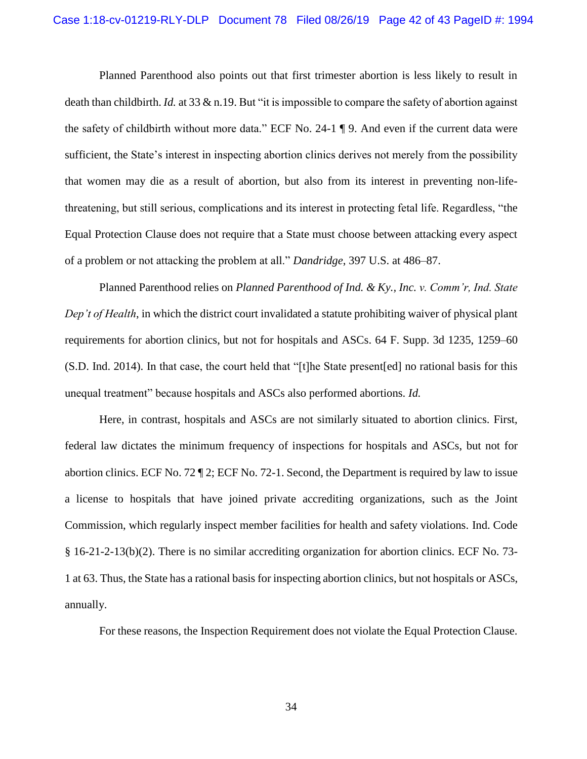Planned Parenthood also points out that first trimester abortion is less likely to result in death than childbirth. *Id.* at 33 & n.19. But "it is impossible to compare the safety of abortion against the safety of childbirth without more data." ECF No. 24-1 ¶ 9. And even if the current data were sufficient, the State's interest in inspecting abortion clinics derives not merely from the possibility that women may die as a result of abortion, but also from its interest in preventing non-lifethreatening, but still serious, complications and its interest in protecting fetal life. Regardless, "the Equal Protection Clause does not require that a State must choose between attacking every aspect of a problem or not attacking the problem at all." *Dandridge*, 397 U.S. at 486–87.

<span id="page-41-1"></span><span id="page-41-0"></span>Planned Parenthood relies on *Planned Parenthood of Ind. & Ky., Inc. v. Comm'r, Ind. State Dep't of Health*, in which the district court invalidated a statute prohibiting waiver of physical plant requirements for abortion clinics, but not for hospitals and ASCs. 64 F. Supp. 3d 1235, 1259–60 (S.D. Ind. 2014). In that case, the court held that "[t]he State present[ed] no rational basis for this unequal treatment" because hospitals and ASCs also performed abortions. *Id.*

Here, in contrast, hospitals and ASCs are not similarly situated to abortion clinics. First, federal law dictates the minimum frequency of inspections for hospitals and ASCs, but not for abortion clinics. ECF No. 72 ¶ 2; ECF No. 72-1. Second, the Department is required by law to issue a license to hospitals that have joined private accrediting organizations, such as the Joint Commission, which regularly inspect member facilities for health and safety violations. Ind. Code § 16-21-2-13(b)(2). There is no similar accrediting organization for abortion clinics. ECF No. 73- 1 at 63. Thus, the State has a rational basis for inspecting abortion clinics, but not hospitals or ASCs, annually.

<span id="page-41-2"></span>For these reasons, the Inspection Requirement does not violate the Equal Protection Clause.